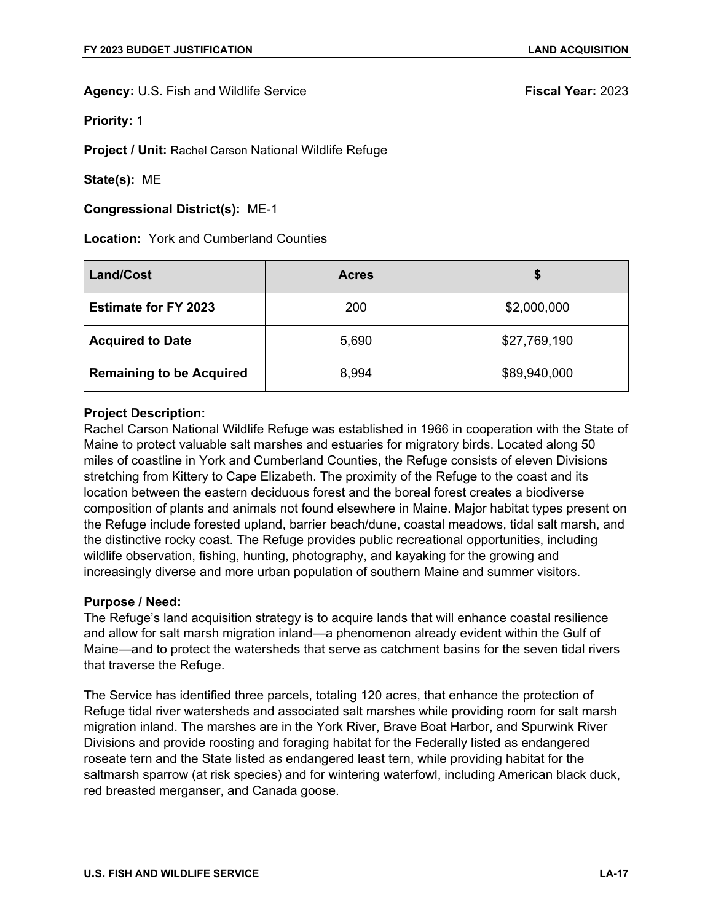**Priority:** 1

**Project / Unit:** Rachel Carson National Wildlife Refuge

**State(s):** ME

**Congressional District(s):** ME-1

**Location:** York and Cumberland Counties

| <b>Land/Cost</b>                | <b>Acres</b> | S            |
|---------------------------------|--------------|--------------|
| <b>Estimate for FY 2023</b>     | 200          | \$2,000,000  |
| <b>Acquired to Date</b>         | 5,690        | \$27,769,190 |
| <b>Remaining to be Acquired</b> | 8,994        | \$89,940,000 |

# **Project Description:**

Rachel Carson National Wildlife Refuge was established in 1966 in cooperation with the State of Maine to protect valuable salt marshes and estuaries for migratory birds. Located along 50 miles of coastline in York and Cumberland Counties, the Refuge consists of eleven Divisions stretching from Kittery to Cape Elizabeth. The proximity of the Refuge to the coast and its location between the eastern deciduous forest and the boreal forest creates a biodiverse composition of plants and animals not found elsewhere in Maine. Major habitat types present on the Refuge include forested upland, barrier beach/dune, coastal meadows, tidal salt marsh, and the distinctive rocky coast. The Refuge provides public recreational opportunities, including wildlife observation, fishing, hunting, photography, and kayaking for the growing and increasingly diverse and more urban population of southern Maine and summer visitors.

### **Purpose / Need:**

The Refuge's land acquisition strategy is to acquire lands that will enhance coastal resilience and allow for salt marsh migration inland—a phenomenon already evident within the Gulf of Maine—and to protect the watersheds that serve as catchment basins for the seven tidal rivers that traverse the Refuge.

The Service has identified three parcels, totaling 120 acres, that enhance the protection of Refuge tidal river watersheds and associated salt marshes while providing room for salt marsh migration inland. The marshes are in the York River, Brave Boat Harbor, and Spurwink River Divisions and provide roosting and foraging habitat for the Federally listed as endangered roseate tern and the State listed as endangered least tern, while providing habitat for the saltmarsh sparrow (at risk species) and for wintering waterfowl, including American black duck, red breasted merganser, and Canada goose.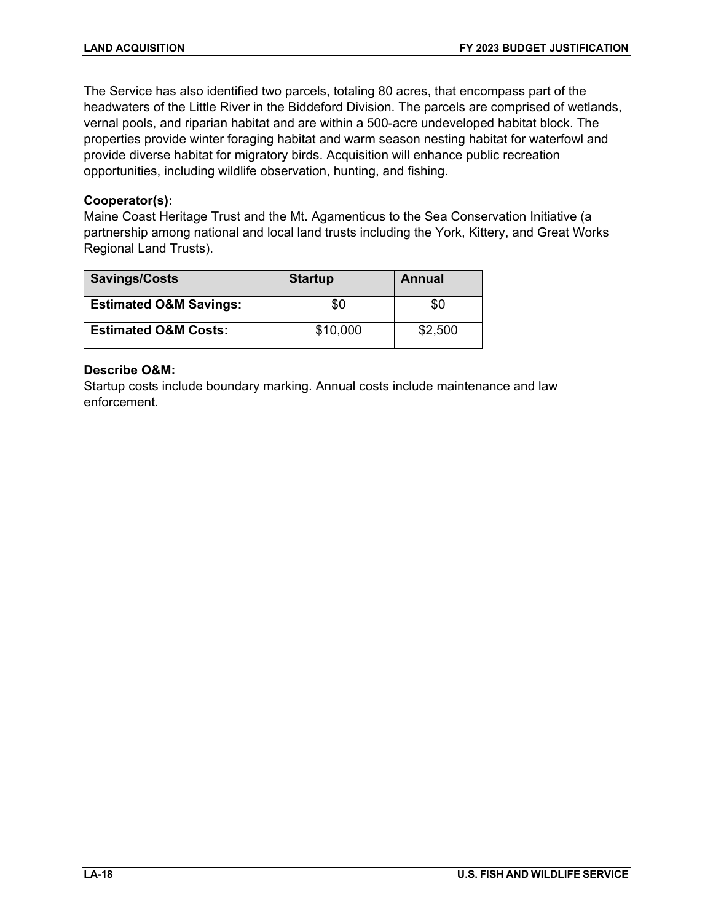The Service has also identified two parcels, totaling 80 acres, that encompass part of the headwaters of the Little River in the Biddeford Division. The parcels are comprised of wetlands, vernal pools, and riparian habitat and are within a 500-acre undeveloped habitat block. The properties provide winter foraging habitat and warm season nesting habitat for waterfowl and provide diverse habitat for migratory birds. Acquisition will enhance public recreation opportunities, including wildlife observation, hunting, and fishing.

# **Cooperator(s):**

Maine Coast Heritage Trust and the Mt. Agamenticus to the Sea Conservation Initiative (a partnership among national and local land trusts including the York, Kittery, and Great Works Regional Land Trusts).

| <b>Savings/Costs</b>              | <b>Startup</b> | Annual  |
|-----------------------------------|----------------|---------|
| <b>Estimated O&amp;M Savings:</b> | \$0            | \$0     |
| <b>Estimated O&amp;M Costs:</b>   | \$10,000       | \$2,500 |

# **Describe O&M:**

Startup costs include boundary marking. Annual costs include maintenance and law enforcement.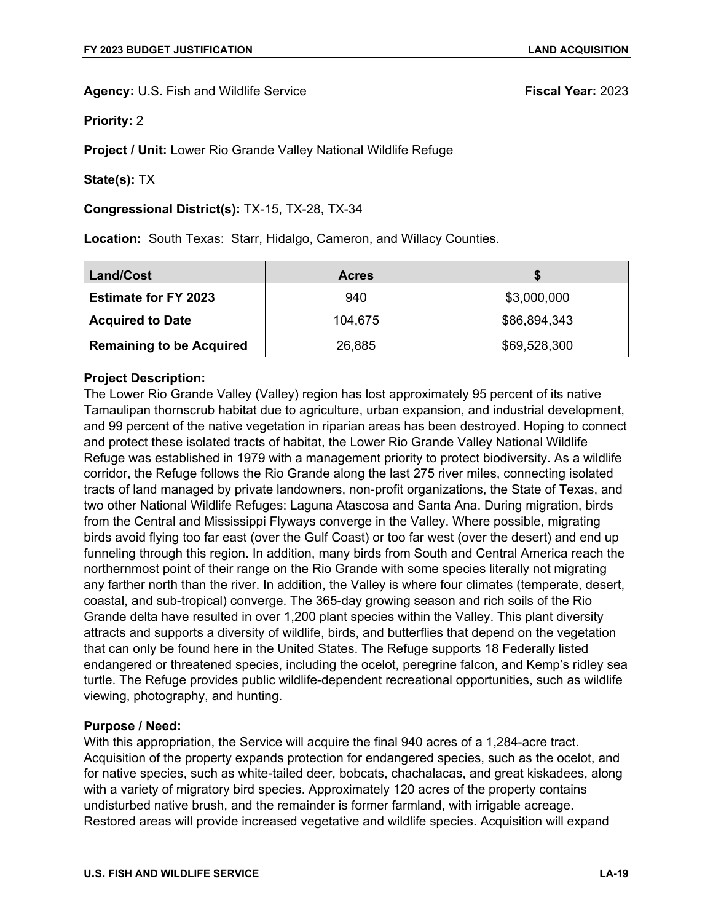**Priority:** 2

**Project / Unit:** Lower Rio Grande Valley National Wildlife Refuge

**State(s):** TX

### **Congressional District(s):** TX-15, TX-28, TX-34

**Location:** South Texas: Starr, Hidalgo, Cameron, and Willacy Counties.

| Land/Cost                       | <b>Acres</b> |              |
|---------------------------------|--------------|--------------|
| <b>Estimate for FY 2023</b>     | 940          | \$3,000,000  |
| <b>Acquired to Date</b>         | 104,675      | \$86,894,343 |
| <b>Remaining to be Acquired</b> | 26,885       | \$69,528,300 |

# **Project Description:**

The Lower Rio Grande Valley (Valley) region has lost approximately 95 percent of its native Tamaulipan thornscrub habitat due to agriculture, urban expansion, and industrial development, and 99 percent of the native vegetation in riparian areas has been destroyed. Hoping to connect and protect these isolated tracts of habitat, the Lower Rio Grande Valley National Wildlife Refuge was established in 1979 with a management priority to protect biodiversity. As a wildlife corridor, the Refuge follows the Rio Grande along the last 275 river miles, connecting isolated tracts of land managed by private landowners, non-profit organizations, the State of Texas, and two other National Wildlife Refuges: Laguna Atascosa and Santa Ana. During migration, birds from the Central and Mississippi Flyways converge in the Valley. Where possible, migrating birds avoid flying too far east (over the Gulf Coast) or too far west (over the desert) and end up funneling through this region. In addition, many birds from South and Central America reach the northernmost point of their range on the Rio Grande with some species literally not migrating any farther north than the river. In addition, the Valley is where four climates (temperate, desert, coastal, and sub-tropical) converge. The 365-day growing season and rich soils of the Rio Grande delta have resulted in over 1,200 plant species within the Valley. This plant diversity attracts and supports a diversity of wildlife, birds, and butterflies that depend on the vegetation that can only be found here in the United States. The Refuge supports 18 Federally listed endangered or threatened species, including the ocelot, peregrine falcon, and Kemp's ridley sea turtle. The Refuge provides public wildlife-dependent recreational opportunities, such as wildlife viewing, photography, and hunting.

### **Purpose / Need:**

With this appropriation, the Service will acquire the final 940 acres of a 1,284-acre tract. Acquisition of the property expands protection for endangered species, such as the ocelot, and for native species, such as white-tailed deer, bobcats, chachalacas, and great kiskadees, along with a variety of migratory bird species. Approximately 120 acres of the property contains undisturbed native brush, and the remainder is former farmland, with irrigable acreage. Restored areas will provide increased vegetative and wildlife species. Acquisition will expand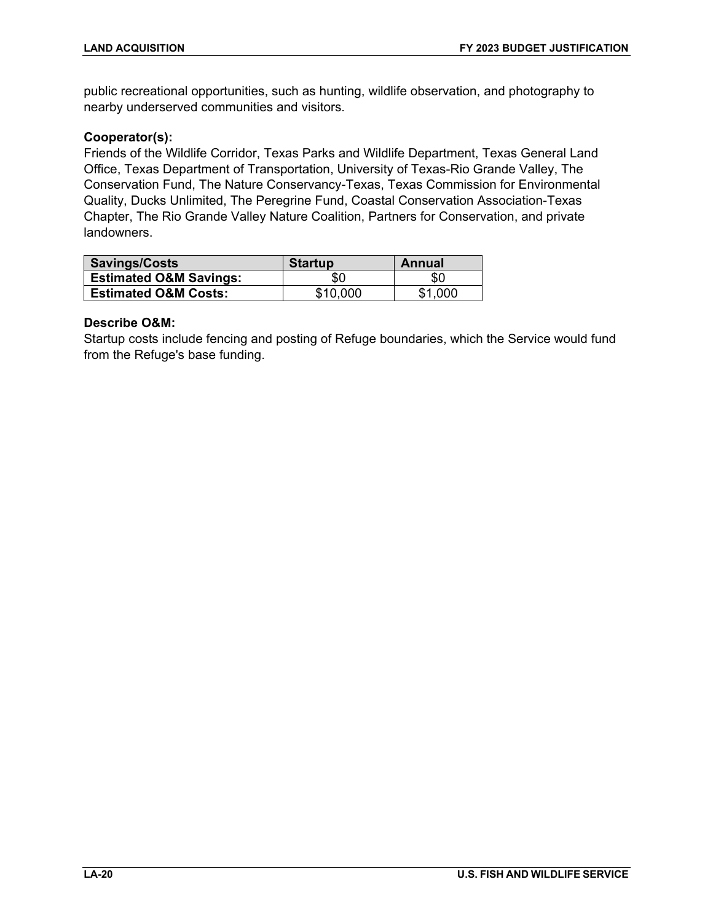public recreational opportunities, such as hunting, wildlife observation, and photography to nearby underserved communities and visitors.

# **Cooperator(s):**

Friends of the Wildlife Corridor, Texas Parks and Wildlife Department, Texas General Land Office, Texas Department of Transportation, University of Texas-Rio Grande Valley, The Conservation Fund, The Nature Conservancy-Texas, Texas Commission for Environmental Quality, Ducks Unlimited, The Peregrine Fund, Coastal Conservation Association-Texas Chapter, The Rio Grande Valley Nature Coalition, Partners for Conservation, and private landowners.

| <b>Savings/Costs</b>              | <b>Startup</b> | Annual  |
|-----------------------------------|----------------|---------|
| <b>Estimated O&amp;M Savings:</b> | \$0            | \$0     |
| <b>Estimated O&amp;M Costs:</b>   | \$10,000       | \$1.000 |

# **Describe O&M:**

Startup costs include fencing and posting of Refuge boundaries, which the Service would fund from the Refuge's base funding.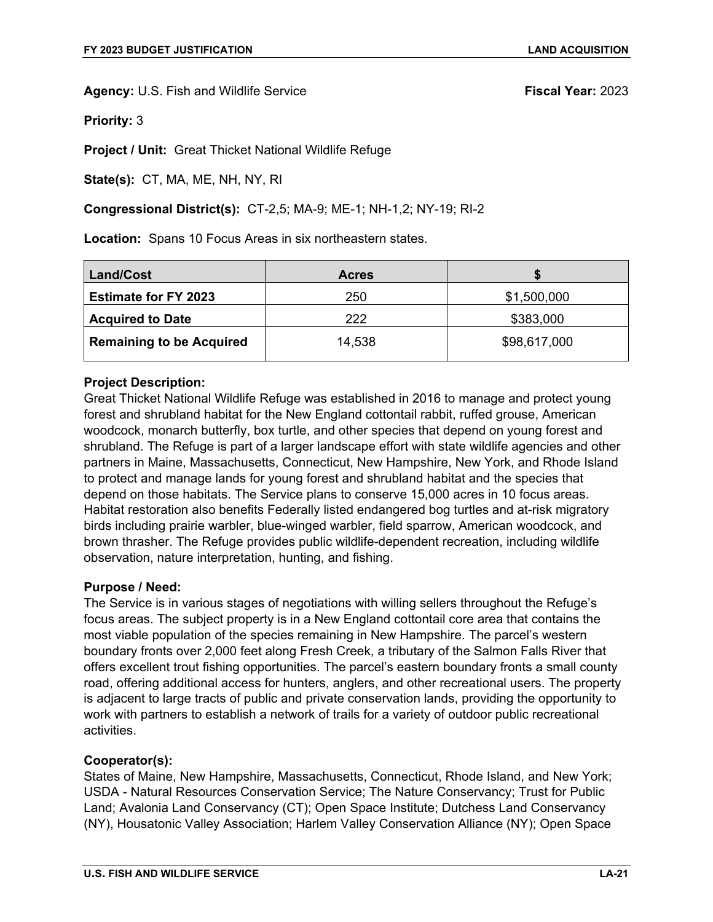**Priority:** 3

**Project / Unit:** Great Thicket National Wildlife Refuge

**State(s):** CT, MA, ME, NH, NY, RI

### **Congressional District(s):** CT-2,5; MA-9; ME-1; NH-1,2; NY-19; RI-2

**Location:** Spans 10 Focus Areas in six northeastern states.

| <b>Land/Cost</b>                | <b>Acres</b> |              |
|---------------------------------|--------------|--------------|
| <b>Estimate for FY 2023</b>     | 250          | \$1,500,000  |
| <b>Acquired to Date</b>         | 222          | \$383,000    |
| <b>Remaining to be Acquired</b> | 14,538       | \$98,617,000 |

### **Project Description:**

Great Thicket National Wildlife Refuge was established in 2016 to manage and protect young forest and shrubland habitat for the New England cottontail rabbit, ruffed grouse, American woodcock, monarch butterfly, box turtle, and other species that depend on young forest and shrubland. The Refuge is part of a larger landscape effort with state wildlife agencies and other partners in Maine, Massachusetts, Connecticut, New Hampshire, New York, and Rhode Island to protect and manage lands for young forest and shrubland habitat and the species that depend on those habitats. The Service plans to conserve 15,000 acres in 10 focus areas. Habitat restoration also benefits Federally listed endangered bog turtles and at-risk migratory birds including prairie warbler, blue-winged warbler, field sparrow, American woodcock, and brown thrasher. The Refuge provides public wildlife-dependent recreation, including wildlife observation, nature interpretation, hunting, and fishing.

### **Purpose / Need:**

The Service is in various stages of negotiations with willing sellers throughout the Refuge's focus areas. The subject property is in a New England cottontail core area that contains the most viable population of the species remaining in New Hampshire. The parcel's western boundary fronts over 2,000 feet along Fresh Creek, a tributary of the Salmon Falls River that offers excellent trout fishing opportunities. The parcel's eastern boundary fronts a small county road, offering additional access for hunters, anglers, and other recreational users. The property is adjacent to large tracts of public and private conservation lands, providing the opportunity to work with partners to establish a network of trails for a variety of outdoor public recreational activities.

### **Cooperator(s):**

States of Maine, New Hampshire, Massachusetts, Connecticut, Rhode Island, and New York; USDA - Natural Resources Conservation Service; The Nature Conservancy; Trust for Public Land; Avalonia Land Conservancy (CT); Open Space Institute; Dutchess Land Conservancy (NY), Housatonic Valley Association; Harlem Valley Conservation Alliance (NY); Open Space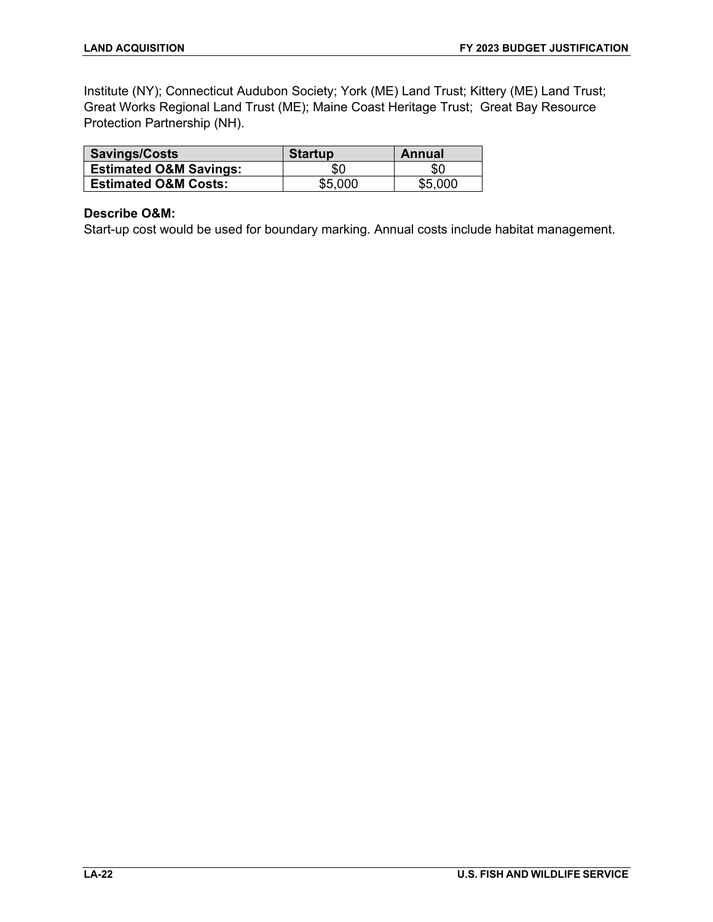Institute (NY); Connecticut Audubon Society; York (ME) Land Trust; Kittery (ME) Land Trust; Great Works Regional Land Trust (ME); Maine Coast Heritage Trust; Great Bay Resource Protection Partnership (NH).

| Savings/Costs                     | <b>Startup</b> | Annual  |
|-----------------------------------|----------------|---------|
| <b>Estimated O&amp;M Savings:</b> | \$0            | \$0     |
| <b>Estimated O&amp;M Costs:</b>   | \$5,000        | \$5,000 |

# **Describe O&M:**

Start-up cost would be used for boundary marking. Annual costs include habitat management.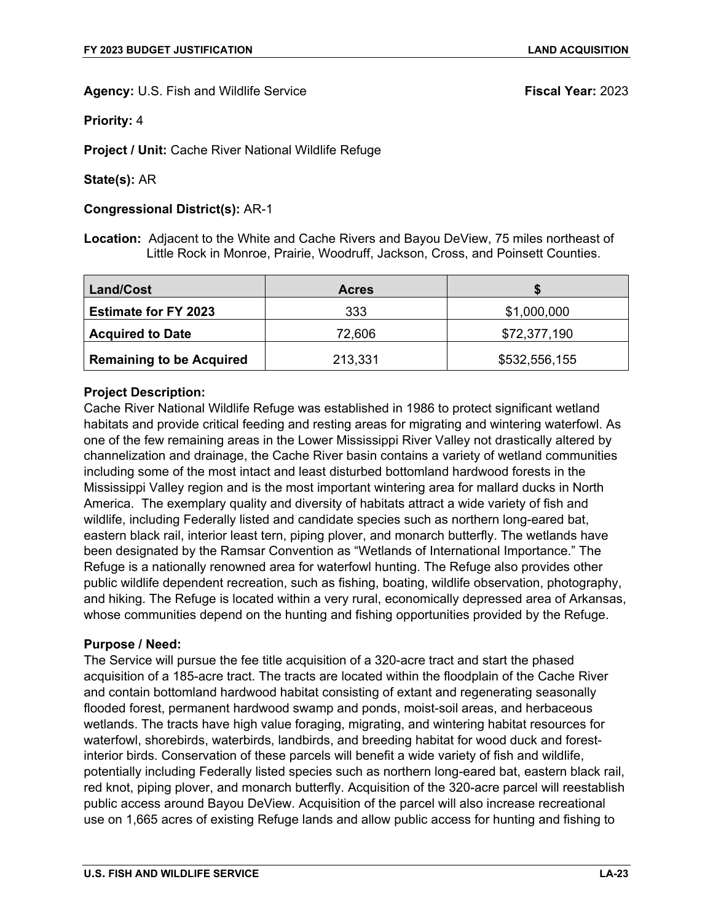**Priority:** 4

**Project / Unit:** Cache River National Wildlife Refuge

### **State(s):** AR

### **Congressional District(s):** AR-1

**Location:** Adjacent to the White and Cache Rivers and Bayou DeView, 75 miles northeast of Little Rock in Monroe, Prairie, Woodruff, Jackson, Cross, and Poinsett Counties.

| Land/Cost                       | <b>Acres</b> |               |
|---------------------------------|--------------|---------------|
| <b>Estimate for FY 2023</b>     | 333          | \$1,000,000   |
| <b>Acquired to Date</b>         | 72,606       | \$72,377,190  |
| <b>Remaining to be Acquired</b> | 213,331      | \$532,556,155 |

# **Project Description:**

Cache River National Wildlife Refuge was established in 1986 to protect significant wetland habitats and provide critical feeding and resting areas for migrating and wintering waterfowl. As one of the few remaining areas in the Lower Mississippi River Valley not drastically altered by channelization and drainage, the Cache River basin contains a variety of wetland communities including some of the most intact and least disturbed bottomland hardwood forests in the Mississippi Valley region and is the most important wintering area for mallard ducks in North America. The exemplary quality and diversity of habitats attract a wide variety of fish and wildlife, including Federally listed and candidate species such as northern long-eared bat, eastern black rail, interior least tern, piping plover, and monarch butterfly. The wetlands have been designated by the Ramsar Convention as "Wetlands of International Importance." The Refuge is a nationally renowned area for waterfowl hunting. The Refuge also provides other public wildlife dependent recreation, such as fishing, boating, wildlife observation, photography, and hiking. The Refuge is located within a very rural, economically depressed area of Arkansas, whose communities depend on the hunting and fishing opportunities provided by the Refuge.

### **Purpose / Need:**

The Service will pursue the fee title acquisition of a 320-acre tract and start the phased acquisition of a 185-acre tract. The tracts are located within the floodplain of the Cache River and contain bottomland hardwood habitat consisting of extant and regenerating seasonally flooded forest, permanent hardwood swamp and ponds, moist-soil areas, and herbaceous wetlands. The tracts have high value foraging, migrating, and wintering habitat resources for waterfowl, shorebirds, waterbirds, landbirds, and breeding habitat for wood duck and forestinterior birds. Conservation of these parcels will benefit a wide variety of fish and wildlife, potentially including Federally listed species such as northern long-eared bat, eastern black rail, red knot, piping plover, and monarch butterfly. Acquisition of the 320-acre parcel will reestablish public access around Bayou DeView. Acquisition of the parcel will also increase recreational use on 1,665 acres of existing Refuge lands and allow public access for hunting and fishing to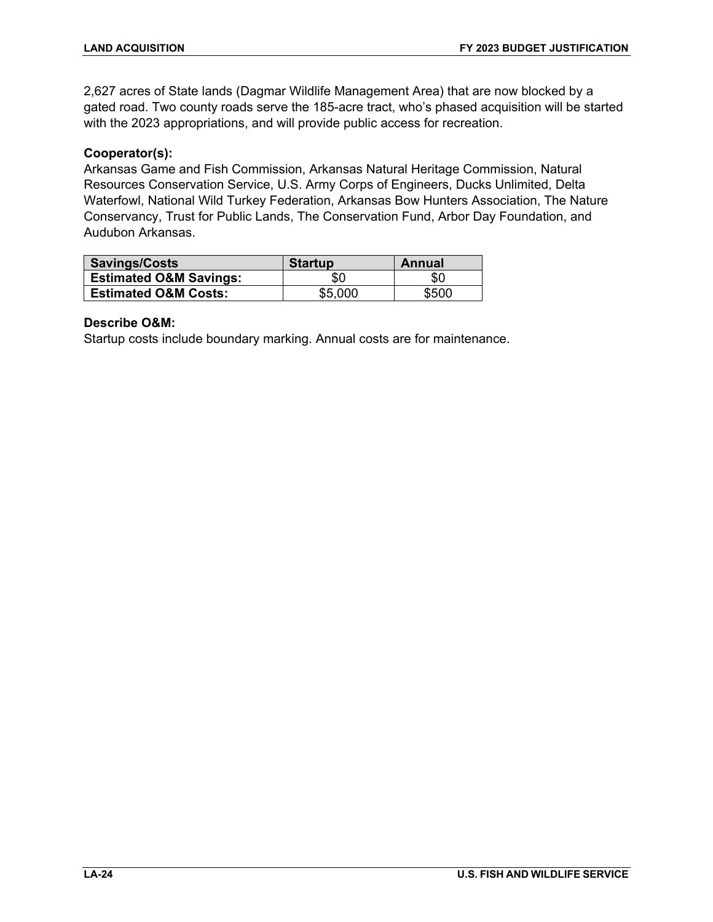2,627 acres of State lands (Dagmar Wildlife Management Area) that are now blocked by a gated road. Two county roads serve the 185-acre tract, who's phased acquisition will be started with the 2023 appropriations, and will provide public access for recreation.

# **Cooperator(s):**

Arkansas Game and Fish Commission, Arkansas Natural Heritage Commission, Natural Resources Conservation Service, U.S. Army Corps of Engineers, Ducks Unlimited, Delta Waterfowl, National Wild Turkey Federation, Arkansas Bow Hunters Association, The Nature Conservancy, Trust for Public Lands, The Conservation Fund, Arbor Day Foundation, and Audubon Arkansas.

| Savings/Costs                     | <b>Startup</b> | Annual |
|-----------------------------------|----------------|--------|
| <b>Estimated O&amp;M Savings:</b> | \$0            | \$0    |
| <b>Estimated O&amp;M Costs:</b>   | \$5,000        | \$500  |

# **Describe O&M:**

Startup costs include boundary marking. Annual costs are for maintenance.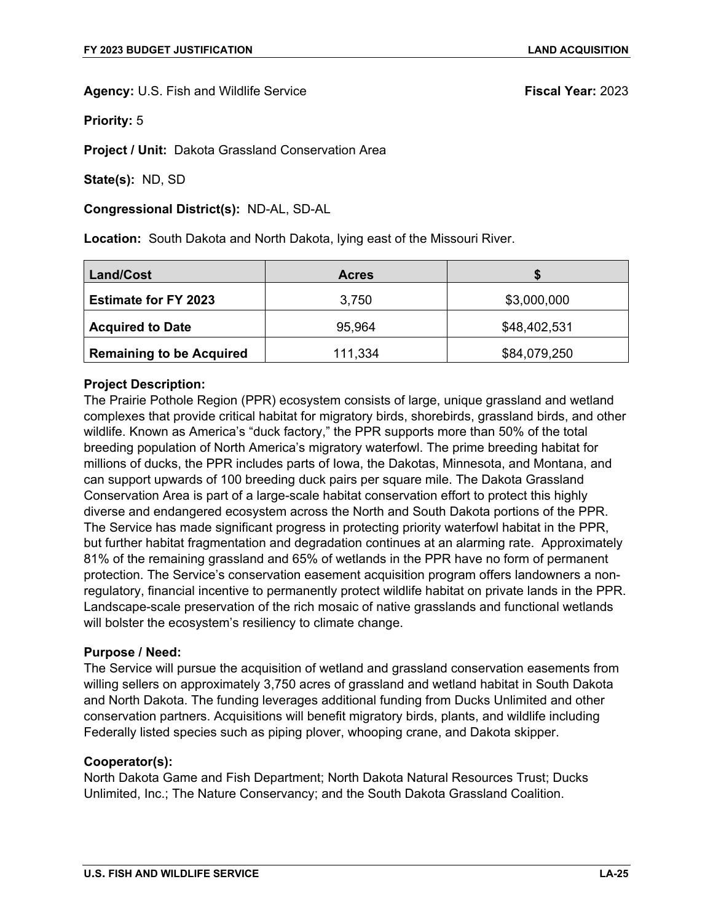**Priority:** 5

**Project / Unit:** Dakota Grassland Conservation Area

**State(s):** ND, SD

**Congressional District(s):** ND-AL, SD-AL

**Location:** South Dakota and North Dakota, lying east of the Missouri River.

| Land/Cost                       | <b>Acres</b> |              |
|---------------------------------|--------------|--------------|
| <b>Estimate for FY 2023</b>     | 3,750        | \$3,000,000  |
| <b>Acquired to Date</b>         | 95,964       | \$48,402,531 |
| <b>Remaining to be Acquired</b> | 111,334      | \$84,079,250 |

### **Project Description:**

The Prairie Pothole Region (PPR) ecosystem consists of large, unique grassland and wetland complexes that provide critical habitat for migratory birds, shorebirds, grassland birds, and other wildlife. Known as America's "duck factory," the PPR supports more than 50% of the total breeding population of North America's migratory waterfowl. The prime breeding habitat for millions of ducks, the PPR includes parts of Iowa, the Dakotas, Minnesota, and Montana, and can support upwards of 100 breeding duck pairs per square mile. The Dakota Grassland Conservation Area is part of a large-scale habitat conservation effort to protect this highly diverse and endangered ecosystem across the North and South Dakota portions of the PPR. The Service has made significant progress in protecting priority waterfowl habitat in the PPR, but further habitat fragmentation and degradation continues at an alarming rate. Approximately 81% of the remaining grassland and 65% of wetlands in the PPR have no form of permanent protection. The Service's conservation easement acquisition program offers landowners a nonregulatory, financial incentive to permanently protect wildlife habitat on private lands in the PPR. Landscape-scale preservation of the rich mosaic of native grasslands and functional wetlands will bolster the ecosystem's resiliency to climate change.

### **Purpose / Need:**

The Service will pursue the acquisition of wetland and grassland conservation easements from willing sellers on approximately 3,750 acres of grassland and wetland habitat in South Dakota and North Dakota. The funding leverages additional funding from Ducks Unlimited and other conservation partners. Acquisitions will benefit migratory birds, plants, and wildlife including Federally listed species such as piping plover, whooping crane, and Dakota skipper.

### **Cooperator(s):**

North Dakota Game and Fish Department; North Dakota Natural Resources Trust; Ducks Unlimited, Inc.; The Nature Conservancy; and the South Dakota Grassland Coalition.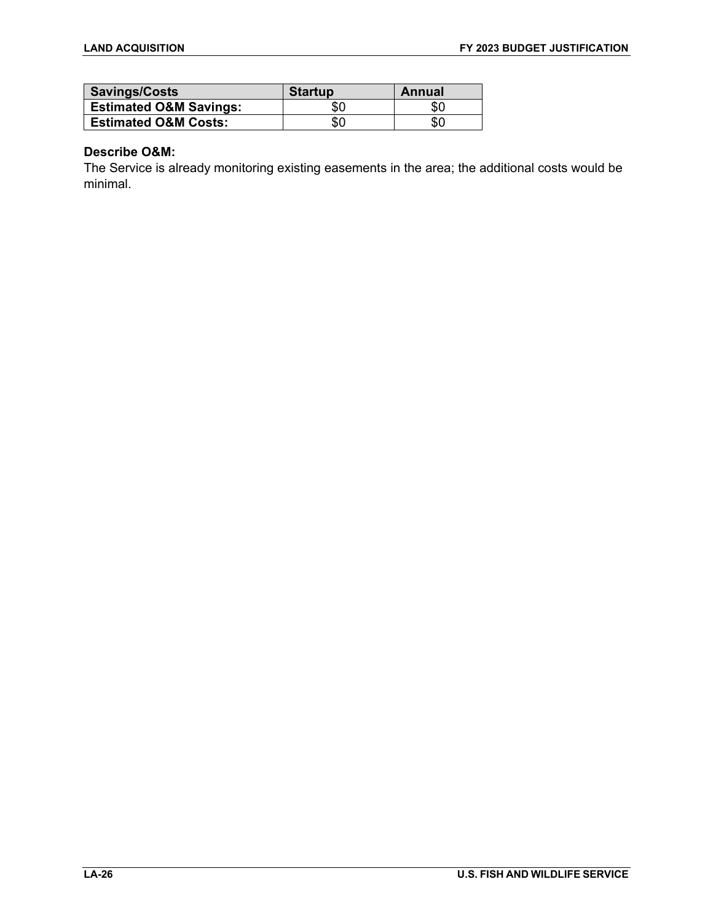| Savings/Costs                     | <b>Startup</b> | Annual |
|-----------------------------------|----------------|--------|
| <b>Estimated O&amp;M Savings:</b> | 80             | \$0    |
| <b>Estimated O&amp;M Costs:</b>   | \$0            | \$0    |

# **Describe O&M:**

The Service is already monitoring existing easements in the area; the additional costs would be minimal.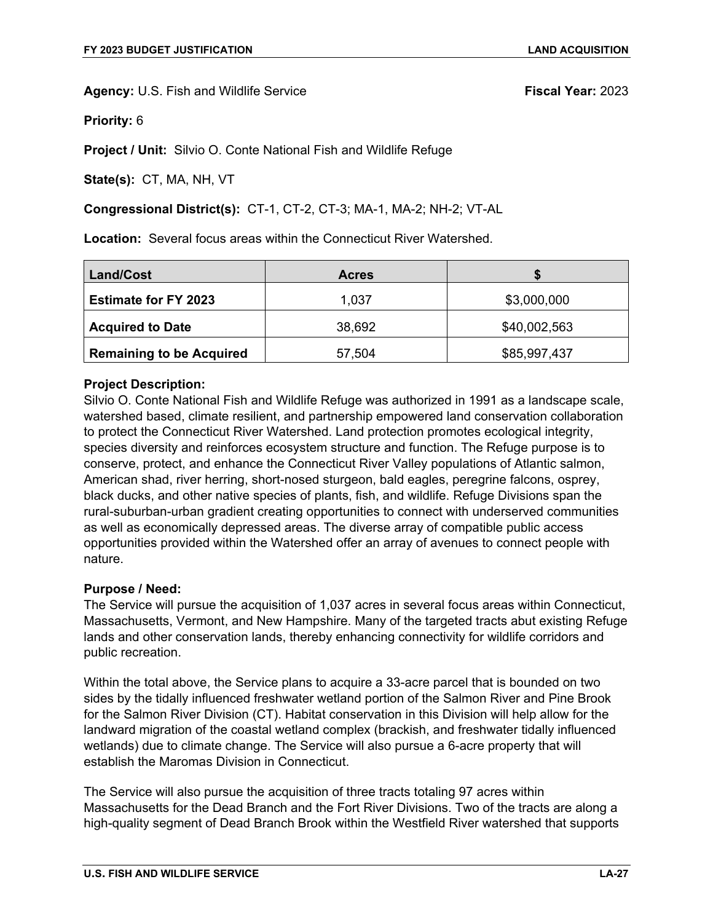**Priority:** 6

**Project / Unit:** Silvio O. Conte National Fish and Wildlife Refuge

**State(s):** CT, MA, NH, VT

### **Congressional District(s):** CT-1, CT-2, CT-3; MA-1, MA-2; NH-2; VT-AL

**Location:** Several focus areas within the Connecticut River Watershed.

| Land/Cost                       | <b>Acres</b> |              |
|---------------------------------|--------------|--------------|
| <b>Estimate for FY 2023</b>     | 1,037        | \$3,000,000  |
| <b>Acquired to Date</b>         | 38,692       | \$40,002,563 |
| <b>Remaining to be Acquired</b> | 57,504       | \$85,997,437 |

### **Project Description:**

Silvio O. Conte National Fish and Wildlife Refuge was authorized in 1991 as a landscape scale, watershed based, climate resilient, and partnership empowered land conservation collaboration to protect the Connecticut River Watershed. Land protection promotes ecological integrity, species diversity and reinforces ecosystem structure and function. The Refuge purpose is to conserve, protect, and enhance the Connecticut River Valley populations of Atlantic salmon, American shad, river herring, short-nosed sturgeon, bald eagles, peregrine falcons, osprey, black ducks, and other native species of plants, fish, and wildlife. Refuge Divisions span the rural-suburban-urban gradient creating opportunities to connect with underserved communities as well as economically depressed areas. The diverse array of compatible public access opportunities provided within the Watershed offer an array of avenues to connect people with nature.

### **Purpose / Need:**

The Service will pursue the acquisition of 1,037 acres in several focus areas within Connecticut, Massachusetts, Vermont, and New Hampshire. Many of the targeted tracts abut existing Refuge lands and other conservation lands, thereby enhancing connectivity for wildlife corridors and public recreation.

Within the total above, the Service plans to acquire a 33-acre parcel that is bounded on two sides by the tidally influenced freshwater wetland portion of the Salmon River and Pine Brook for the Salmon River Division (CT). Habitat conservation in this Division will help allow for the landward migration of the coastal wetland complex (brackish, and freshwater tidally influenced wetlands) due to climate change. The Service will also pursue a 6-acre property that will establish the Maromas Division in Connecticut.

The Service will also pursue the acquisition of three tracts totaling 97 acres within Massachusetts for the Dead Branch and the Fort River Divisions. Two of the tracts are along a high-quality segment of Dead Branch Brook within the Westfield River watershed that supports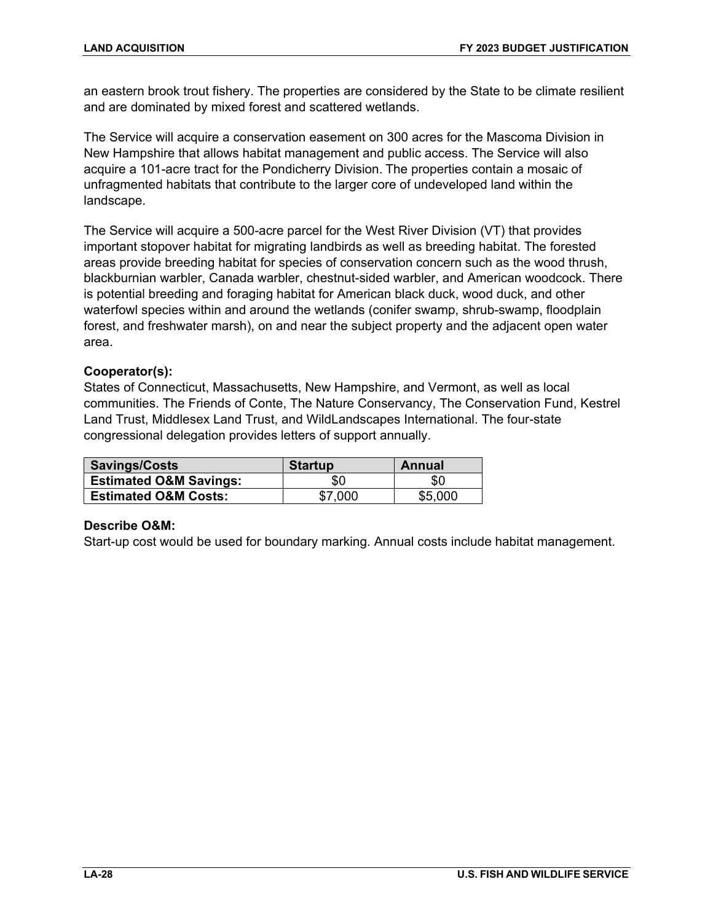an eastern brook trout fishery. The properties are considered by the State to be climate resilient and are dominated by mixed forest and scattered wetlands.

The Service will acquire a conservation easement on 300 acres for the Mascoma Division in New Hampshire that allows habitat management and public access. The Service will also acquire a 101-acre tract for the Pondicherry Division. The properties contain a mosaic of unfragmented habitats that contribute to the larger core of undeveloped land within the landscape.

The Service will acquire a 500-acre parcel for the West River Division (VT) that provides important stopover habitat for migrating landbirds as well as breeding habitat. The forested areas provide breeding habitat for species of conservation concern such as the wood thrush, blackburnian warbler, Canada warbler, chestnut-sided warbler, and American woodcock. There is potential breeding and foraging habitat for American black duck, wood duck, and other waterfowl species within and around the wetlands (conifer swamp, shrub-swamp, floodplain forest, and freshwater marsh), on and near the subject property and the adjacent open water area.

# **Cooperator(s):**

States of Connecticut, Massachusetts, New Hampshire, and Vermont, as well as local communities. The Friends of Conte, The Nature Conservancy, The Conservation Fund, Kestrel Land Trust, Middlesex Land Trust, and WildLandscapes International. The four-state congressional delegation provides letters of support annually.

| Savings/Costs                     | <b>Startup</b> | Annual  |
|-----------------------------------|----------------|---------|
| <b>Estimated O&amp;M Savings:</b> | \$0            | \$0     |
| <b>Estimated O&amp;M Costs:</b>   | \$7,000        | \$5,000 |

# **Describe O&M:**

Start-up cost would be used for boundary marking. Annual costs include habitat management.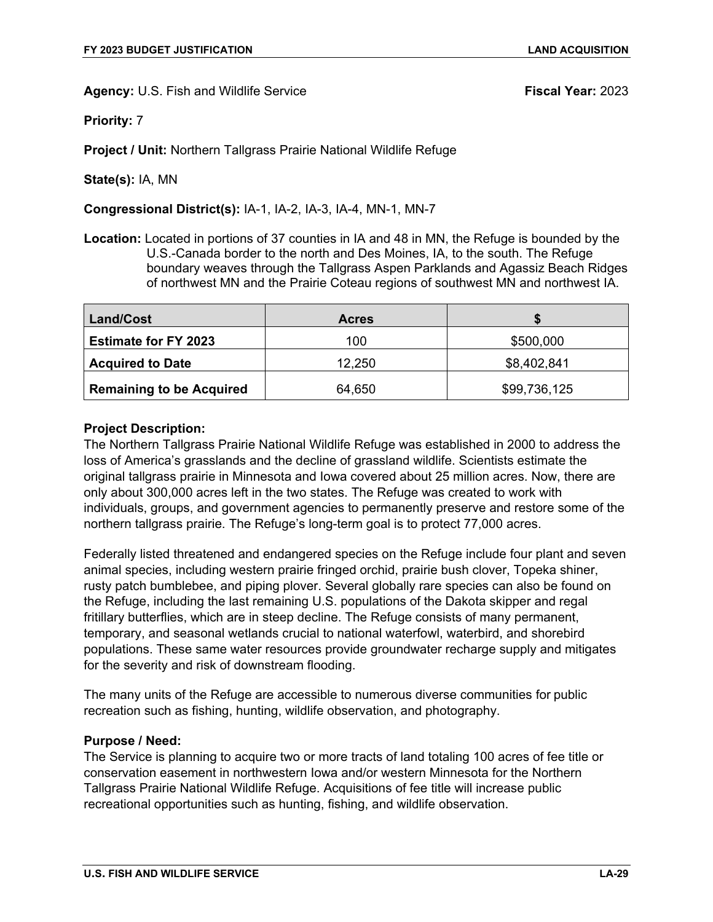**Priority:** 7

**Project / Unit:** Northern Tallgrass Prairie National Wildlife Refuge

**State(s):** IA, MN

**Congressional District(s):** IA-1, IA-2, IA-3, IA-4, MN-1, MN-7

**Location:** Located in portions of 37 counties in IA and 48 in MN, the Refuge is bounded by the U.S.-Canada border to the north and Des Moines, IA, to the south. The Refuge boundary weaves through the Tallgrass Aspen Parklands and Agassiz Beach Ridges of northwest MN and the Prairie Coteau regions of southwest MN and northwest IA.

| Land/Cost                       | <b>Acres</b> |              |
|---------------------------------|--------------|--------------|
| <b>Estimate for FY 2023</b>     | 100          | \$500,000    |
| <b>Acquired to Date</b>         | 12,250       | \$8,402,841  |
| <b>Remaining to be Acquired</b> | 64,650       | \$99,736,125 |

# **Project Description:**

The Northern Tallgrass Prairie National Wildlife Refuge was established in 2000 to address the loss of America's grasslands and the decline of grassland wildlife. Scientists estimate the original tallgrass prairie in Minnesota and Iowa covered about 25 million acres. Now, there are only about 300,000 acres left in the two states. The Refuge was created to work with individuals, groups, and government agencies to permanently preserve and restore some of the northern tallgrass prairie. The Refuge's long-term goal is to protect 77,000 acres.

Federally listed threatened and endangered species on the Refuge include four plant and seven animal species, including western prairie fringed orchid, prairie bush clover, Topeka shiner, rusty patch bumblebee, and piping plover. Several globally rare species can also be found on the Refuge, including the last remaining U.S. populations of the Dakota skipper and regal fritillary butterflies, which are in steep decline. The Refuge consists of many permanent, temporary, and seasonal wetlands crucial to national waterfowl, waterbird, and shorebird populations. These same water resources provide groundwater recharge supply and mitigates for the severity and risk of downstream flooding.

The many units of the Refuge are accessible to numerous diverse communities for public recreation such as fishing, hunting, wildlife observation, and photography.

### **Purpose / Need:**

The Service is planning to acquire two or more tracts of land totaling 100 acres of fee title or conservation easement in northwestern Iowa and/or western Minnesota for the Northern Tallgrass Prairie National Wildlife Refuge. Acquisitions of fee title will increase public recreational opportunities such as hunting, fishing, and wildlife observation.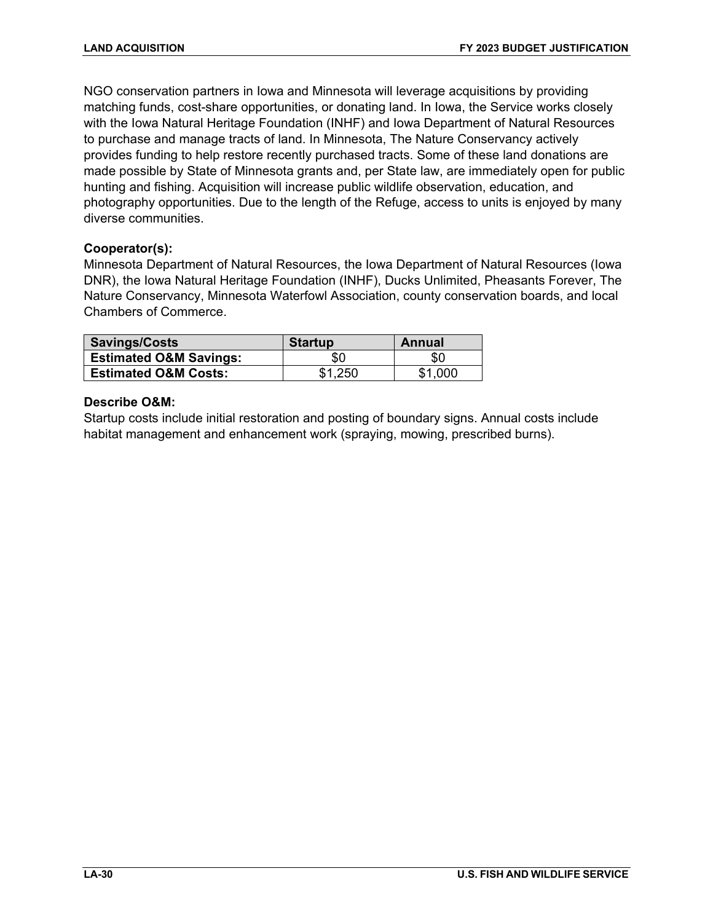NGO conservation partners in Iowa and Minnesota will leverage acquisitions by providing matching funds, cost-share opportunities, or donating land. In Iowa, the Service works closely with the Iowa Natural Heritage Foundation (INHF) and Iowa Department of Natural Resources to purchase and manage tracts of land. In Minnesota, The Nature Conservancy actively provides funding to help restore recently purchased tracts. Some of these land donations are made possible by State of Minnesota grants and, per State law, are immediately open for public hunting and fishing. Acquisition will increase public wildlife observation, education, and photography opportunities. Due to the length of the Refuge, access to units is enjoyed by many diverse communities.

# **Cooperator(s):**

Minnesota Department of Natural Resources, the Iowa Department of Natural Resources (Iowa DNR), the Iowa Natural Heritage Foundation (INHF), Ducks Unlimited, Pheasants Forever, The Nature Conservancy, Minnesota Waterfowl Association, county conservation boards, and local Chambers of Commerce.

| Savings/Costs                     | <b>Startup</b> | Annual  |
|-----------------------------------|----------------|---------|
| <b>Estimated O&amp;M Savings:</b> | \$0            | SC.     |
| <b>Estimated O&amp;M Costs:</b>   | \$1,250        | \$1.000 |

# **Describe O&M:**

Startup costs include initial restoration and posting of boundary signs. Annual costs include habitat management and enhancement work (spraying, mowing, prescribed burns).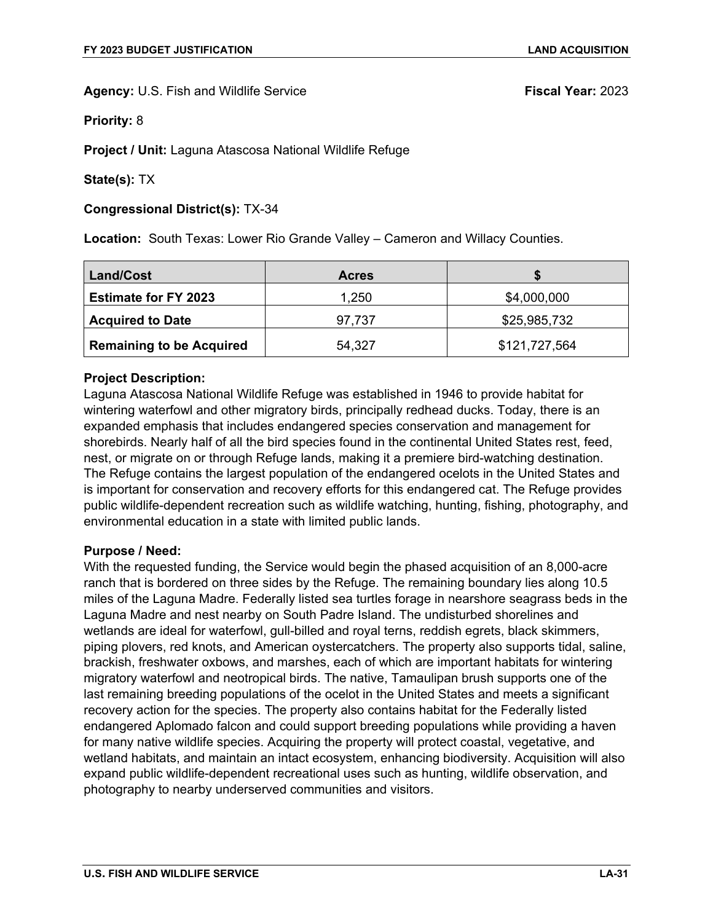**Priority:** 8

**Project / Unit:** Laguna Atascosa National Wildlife Refuge

**State(s):** TX

### **Congressional District(s):** TX-34

**Location:** South Texas: Lower Rio Grande Valley – Cameron and Willacy Counties.

| Land/Cost                       | <b>Acres</b> |               |
|---------------------------------|--------------|---------------|
| <b>Estimate for FY 2023</b>     | 1,250        | \$4,000,000   |
| <b>Acquired to Date</b>         | 97,737       | \$25,985,732  |
| <b>Remaining to be Acquired</b> | 54,327       | \$121,727,564 |

# **Project Description:**

Laguna Atascosa National Wildlife Refuge was established in 1946 to provide habitat for wintering waterfowl and other migratory birds, principally redhead ducks. Today, there is an expanded emphasis that includes endangered species conservation and management for shorebirds. Nearly half of all the bird species found in the continental United States rest, feed, nest, or migrate on or through Refuge lands, making it a premiere bird-watching destination. The Refuge contains the largest population of the endangered ocelots in the United States and is important for conservation and recovery efforts for this endangered cat. The Refuge provides public wildlife-dependent recreation such as wildlife watching, hunting, fishing, photography, and environmental education in a state with limited public lands.

### **Purpose / Need:**

With the requested funding, the Service would begin the phased acquisition of an 8,000-acre ranch that is bordered on three sides by the Refuge. The remaining boundary lies along 10.5 miles of the Laguna Madre. Federally listed sea turtles forage in nearshore seagrass beds in the Laguna Madre and nest nearby on South Padre Island. The undisturbed shorelines and wetlands are ideal for waterfowl, gull-billed and royal terns, reddish egrets, black skimmers, piping plovers, red knots, and American oystercatchers. The property also supports tidal, saline, brackish, freshwater oxbows, and marshes, each of which are important habitats for wintering migratory waterfowl and neotropical birds. The native, Tamaulipan brush supports one of the last remaining breeding populations of the ocelot in the United States and meets a significant recovery action for the species. The property also contains habitat for the Federally listed endangered Aplomado falcon and could support breeding populations while providing a haven for many native wildlife species. Acquiring the property will protect coastal, vegetative, and wetland habitats, and maintain an intact ecosystem, enhancing biodiversity. Acquisition will also expand public wildlife-dependent recreational uses such as hunting, wildlife observation, and photography to nearby underserved communities and visitors.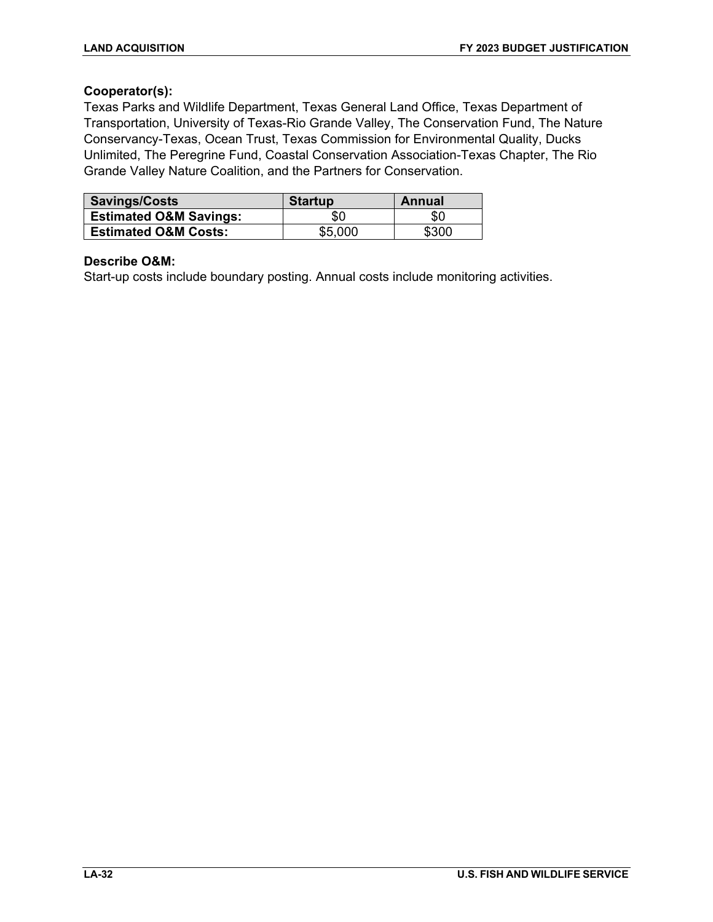# **Cooperator(s):**

Texas Parks and Wildlife Department, Texas General Land Office, Texas Department of Transportation, University of Texas-Rio Grande Valley, The Conservation Fund, The Nature Conservancy-Texas, Ocean Trust, Texas Commission for Environmental Quality, Ducks Unlimited, The Peregrine Fund, Coastal Conservation Association-Texas Chapter, The Rio Grande Valley Nature Coalition, and the Partners for Conservation.

| <b>Savings/Costs</b>              | <b>Startup</b> | Annual |
|-----------------------------------|----------------|--------|
| <b>Estimated O&amp;M Savings:</b> | \$0            | \$0    |
| <b>Estimated O&amp;M Costs:</b>   | \$5,000        | \$300  |

### **Describe O&M:**

Start-up costs include boundary posting. Annual costs include monitoring activities.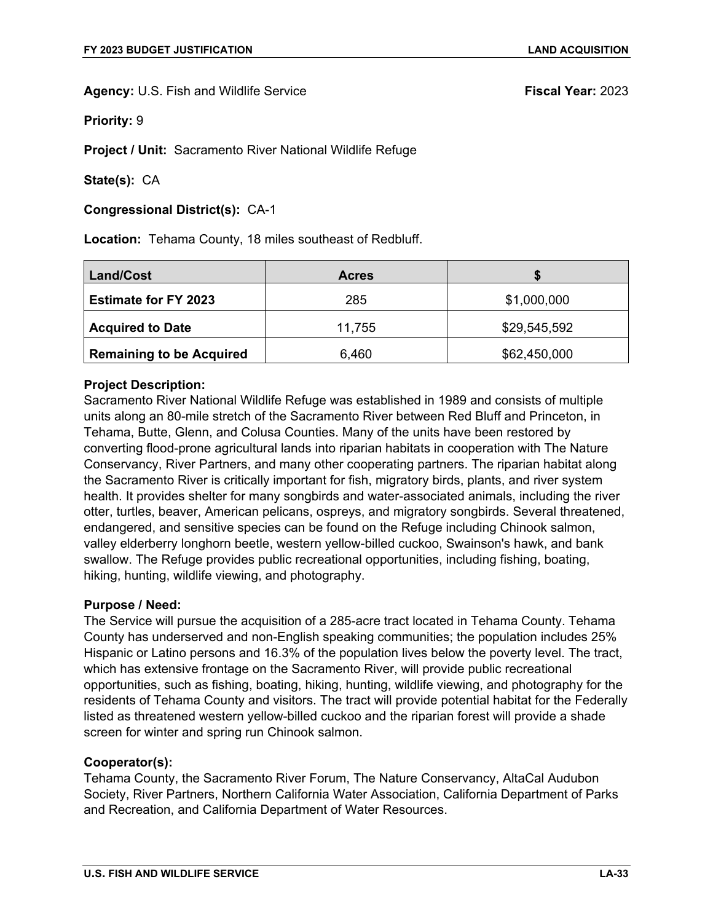**Priority:** 9

**Project / Unit:** Sacramento River National Wildlife Refuge

**State(s):** CA

**Congressional District(s):** CA-1

**Location:** Tehama County, 18 miles southeast of Redbluff.

| <b>Land/Cost</b>                | <b>Acres</b> |              |
|---------------------------------|--------------|--------------|
| <b>Estimate for FY 2023</b>     | 285          | \$1,000,000  |
| <b>Acquired to Date</b>         | 11,755       | \$29,545,592 |
| <b>Remaining to be Acquired</b> | 6,460        | \$62,450,000 |

# **Project Description:**

Sacramento River National Wildlife Refuge was established in 1989 and consists of multiple units along an 80-mile stretch of the Sacramento River between Red Bluff and Princeton, in Tehama, Butte, Glenn, and Colusa Counties. Many of the units have been restored by converting flood-prone agricultural lands into riparian habitats in cooperation with The Nature Conservancy, River Partners, and many other cooperating partners. The riparian habitat along the Sacramento River is critically important for fish, migratory birds, plants, and river system health. It provides shelter for many songbirds and water-associated animals, including the river otter, turtles, beaver, American pelicans, ospreys, and migratory songbirds. Several threatened, endangered, and sensitive species can be found on the Refuge including Chinook salmon, valley elderberry longhorn beetle, western yellow-billed cuckoo, Swainson's hawk, and bank swallow. The Refuge provides public recreational opportunities, including fishing, boating, hiking, hunting, wildlife viewing, and photography.

### **Purpose / Need:**

The Service will pursue the acquisition of a 285-acre tract located in Tehama County. Tehama County has underserved and non-English speaking communities; the population includes 25% Hispanic or Latino persons and 16.3% of the population lives below the poverty level. The tract, which has extensive frontage on the Sacramento River, will provide public recreational opportunities, such as fishing, boating, hiking, hunting, wildlife viewing, and photography for the residents of Tehama County and visitors. The tract will provide potential habitat for the Federally listed as threatened western yellow-billed cuckoo and the riparian forest will provide a shade screen for winter and spring run Chinook salmon.

### **Cooperator(s):**

Tehama County, the Sacramento River Forum, The Nature Conservancy, AltaCal Audubon Society, River Partners, Northern California Water Association, California Department of Parks and Recreation, and California Department of Water Resources.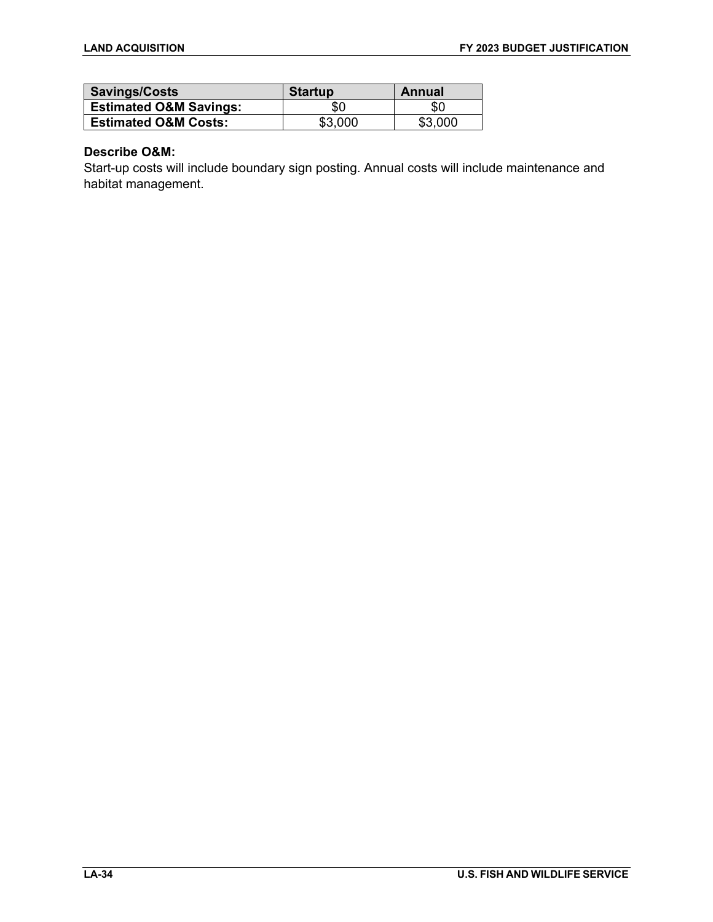| Savings/Costs                     | <b>Startup</b> | Annual  |
|-----------------------------------|----------------|---------|
| <b>Estimated O&amp;M Savings:</b> | \$0            | \$C     |
| <b>Estimated O&amp;M Costs:</b>   | \$3.000        | \$3,000 |

# **Describe O&M:**

Start-up costs will include boundary sign posting. Annual costs will include maintenance and habitat management.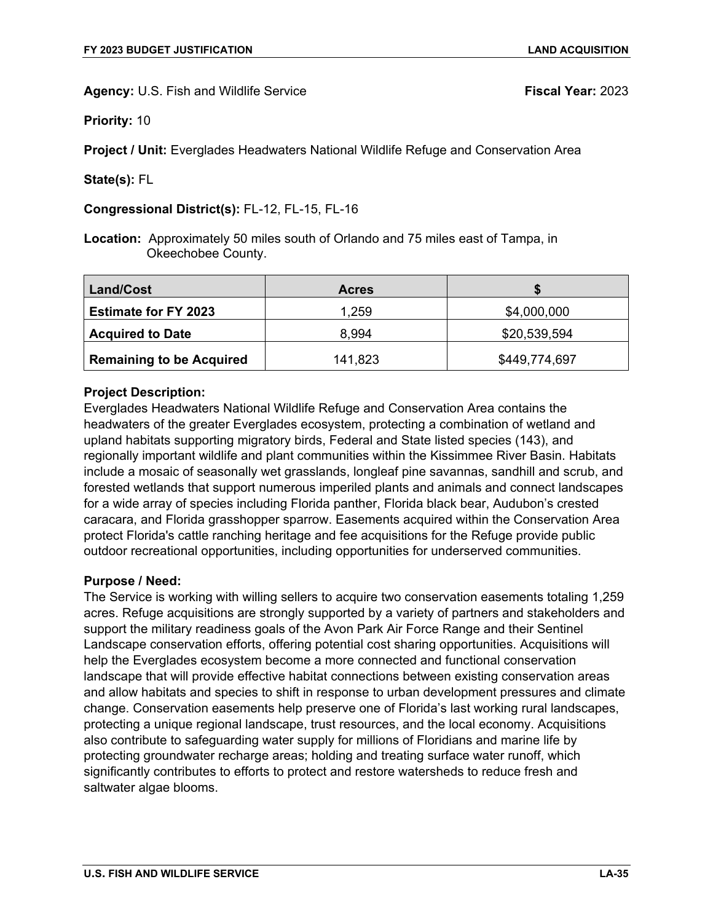**Priority:** 10

**Project / Unit:** Everglades Headwaters National Wildlife Refuge and Conservation Area

**State(s):** FL

**Congressional District(s):** FL-12, FL-15, FL-16

**Location:** Approximately 50 miles south of Orlando and 75 miles east of Tampa, in Okeechobee County.

| Land/Cost                       | <b>Acres</b> |               |
|---------------------------------|--------------|---------------|
| <b>Estimate for FY 2023</b>     | 1,259        | \$4,000,000   |
| <b>Acquired to Date</b>         | 8,994        | \$20,539,594  |
| <b>Remaining to be Acquired</b> | 141,823      | \$449,774,697 |

# **Project Description:**

Everglades Headwaters National Wildlife Refuge and Conservation Area contains the headwaters of the greater Everglades ecosystem, protecting a combination of wetland and upland habitats supporting migratory birds, Federal and State listed species (143), and regionally important wildlife and plant communities within the Kissimmee River Basin. Habitats include a mosaic of seasonally wet grasslands, longleaf pine savannas, sandhill and scrub, and forested wetlands that support numerous imperiled plants and animals and connect landscapes for a wide array of species including Florida panther, Florida black bear, Audubon's crested caracara, and Florida grasshopper sparrow. Easements acquired within the Conservation Area protect Florida's cattle ranching heritage and fee acquisitions for the Refuge provide public outdoor recreational opportunities, including opportunities for underserved communities.

# **Purpose / Need:**

The Service is working with willing sellers to acquire two conservation easements totaling 1,259 acres. Refuge acquisitions are strongly supported by a variety of partners and stakeholders and support the military readiness goals of the Avon Park Air Force Range and their Sentinel Landscape conservation efforts, offering potential cost sharing opportunities. Acquisitions will help the Everglades ecosystem become a more connected and functional conservation landscape that will provide effective habitat connections between existing conservation areas and allow habitats and species to shift in response to urban development pressures and climate change. Conservation easements help preserve one of Florida's last working rural landscapes, protecting a unique regional landscape, trust resources, and the local economy. Acquisitions also contribute to safeguarding water supply for millions of Floridians and marine life by protecting groundwater recharge areas; holding and treating surface water runoff, which significantly contributes to efforts to protect and restore watersheds to reduce fresh and saltwater algae blooms.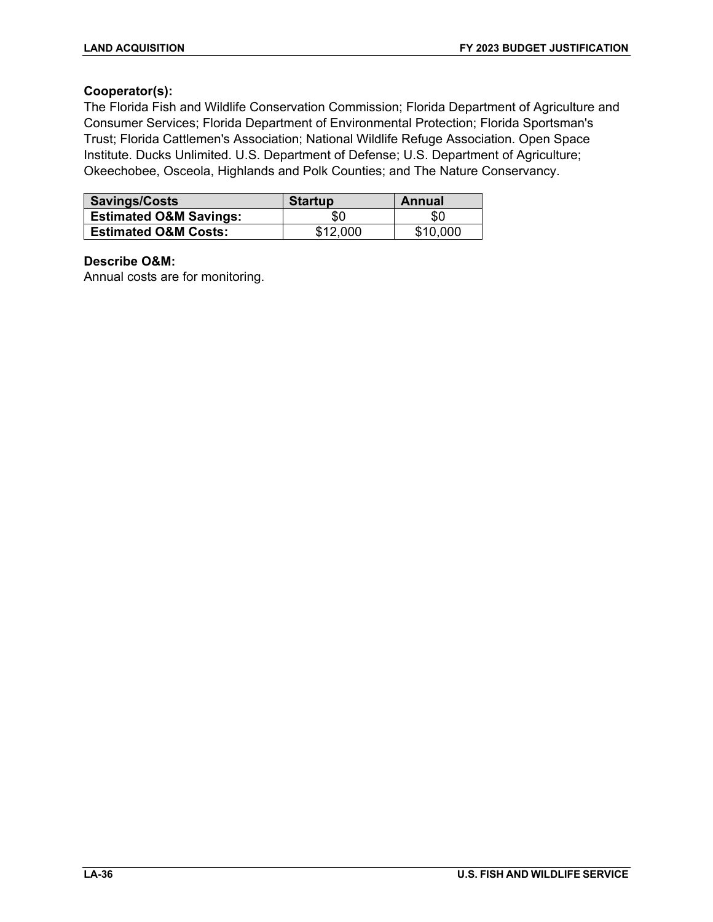# **Cooperator(s):**

The Florida Fish and Wildlife Conservation Commission; Florida Department of Agriculture and Consumer Services; Florida Department of Environmental Protection; Florida Sportsman's Trust; Florida Cattlemen's Association; National Wildlife Refuge Association. Open Space Institute. Ducks Unlimited. U.S. Department of Defense; U.S. Department of Agriculture; Okeechobee, Osceola, Highlands and Polk Counties; and The Nature Conservancy.

| <b>Savings/Costs</b>              | <b>Startup</b> | Annual   |
|-----------------------------------|----------------|----------|
| <b>Estimated O&amp;M Savings:</b> | \$0            | \$0      |
| <b>Estimated O&amp;M Costs:</b>   | \$12,000       | \$10,000 |

# **Describe O&M:**

Annual costs are for monitoring.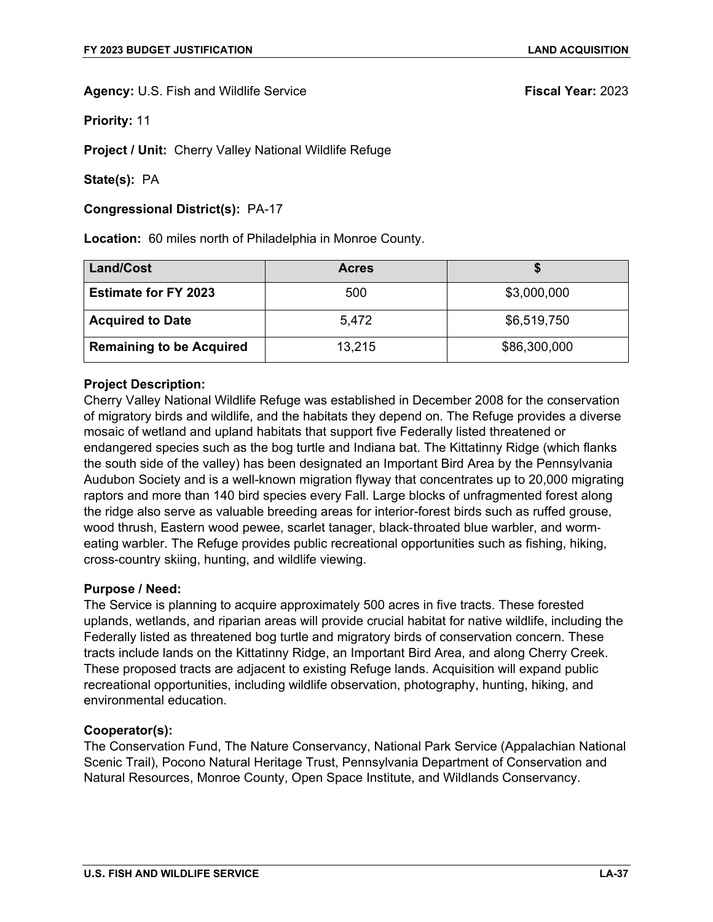**Priority:** 11

**Project / Unit:** Cherry Valley National Wildlife Refuge

**State(s):** PA

**Congressional District(s):** PA-17

**Location:** 60 miles north of Philadelphia in Monroe County.

| <b>Land/Cost</b>                | <b>Acres</b> |              |
|---------------------------------|--------------|--------------|
| <b>Estimate for FY 2023</b>     | 500          | \$3,000,000  |
| <b>Acquired to Date</b>         | 5.472        | \$6,519,750  |
| <b>Remaining to be Acquired</b> | 13,215       | \$86,300,000 |

### **Project Description:**

Cherry Valley National Wildlife Refuge was established in December 2008 for the conservation of migratory birds and wildlife, and the habitats they depend on. The Refuge provides a diverse mosaic of wetland and upland habitats that support five Federally listed threatened or endangered species such as the bog turtle and Indiana bat. The Kittatinny Ridge (which flanks the south side of the valley) has been designated an Important Bird Area by the Pennsylvania Audubon Society and is a well-known migration flyway that concentrates up to 20,000 migrating raptors and more than 140 bird species every Fall. Large blocks of unfragmented forest along the ridge also serve as valuable breeding areas for interior-forest birds such as ruffed grouse, wood thrush, Eastern wood pewee, scarlet tanager, black‐throated blue warbler, and worm‐ eating warbler. The Refuge provides public recreational opportunities such as fishing, hiking, cross-country skiing, hunting, and wildlife viewing.

### **Purpose / Need:**

The Service is planning to acquire approximately 500 acres in five tracts. These forested uplands, wetlands, and riparian areas will provide crucial habitat for native wildlife, including the Federally listed as threatened bog turtle and migratory birds of conservation concern. These tracts include lands on the Kittatinny Ridge, an Important Bird Area, and along Cherry Creek. These proposed tracts are adjacent to existing Refuge lands. Acquisition will expand public recreational opportunities, including wildlife observation, photography, hunting, hiking, and environmental education.

### **Cooperator(s):**

The Conservation Fund, The Nature Conservancy, National Park Service (Appalachian National Scenic Trail), Pocono Natural Heritage Trust, Pennsylvania Department of Conservation and Natural Resources, Monroe County, Open Space Institute, and Wildlands Conservancy.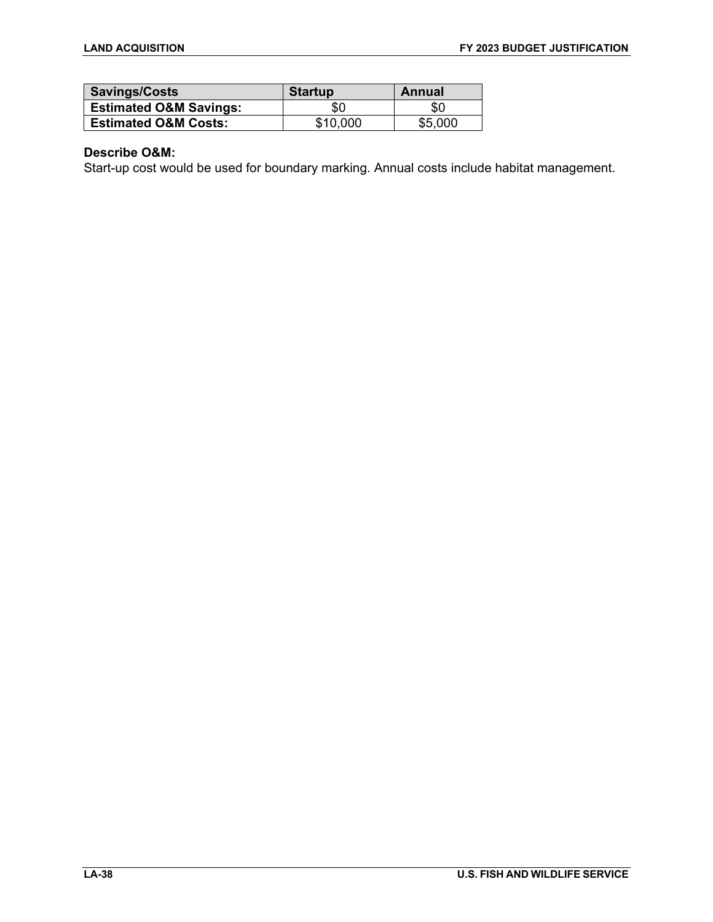| Savings/Costs                     | <b>Startup</b> | Annual  |
|-----------------------------------|----------------|---------|
| <b>Estimated O&amp;M Savings:</b> | \$0            | \$0     |
| <b>Estimated O&amp;M Costs:</b>   | \$10,000       | \$5,000 |

# **Describe O&M:**

Start-up cost would be used for boundary marking. Annual costs include habitat management.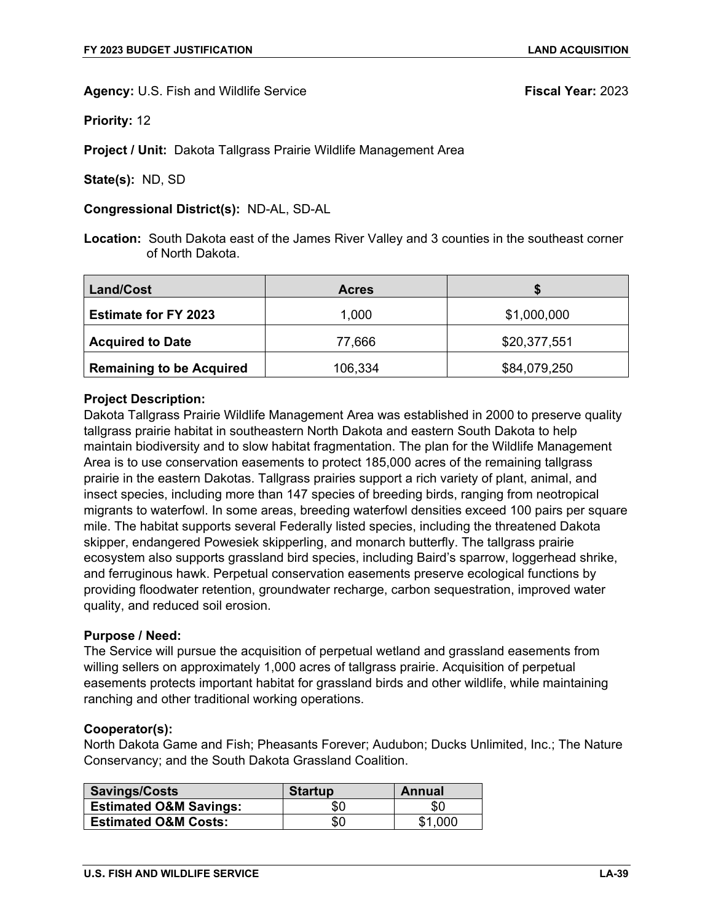**Priority:** 12

**Project / Unit:** Dakota Tallgrass Prairie Wildlife Management Area

**State(s):** ND, SD

**Congressional District(s):** ND-AL, SD-AL

**Location:** South Dakota east of the James River Valley and 3 counties in the southeast corner of North Dakota.

| Land/Cost                       | <b>Acres</b> |              |
|---------------------------------|--------------|--------------|
| <b>Estimate for FY 2023</b>     | 1,000        | \$1,000,000  |
| <b>Acquired to Date</b>         | 77,666       | \$20,377,551 |
| <b>Remaining to be Acquired</b> | 106,334      | \$84,079,250 |

### **Project Description:**

Dakota Tallgrass Prairie Wildlife Management Area was established in 2000 to preserve quality tallgrass prairie habitat in southeastern North Dakota and eastern South Dakota to help maintain biodiversity and to slow habitat fragmentation. The plan for the Wildlife Management Area is to use conservation easements to protect 185,000 acres of the remaining tallgrass prairie in the eastern Dakotas. Tallgrass prairies support a rich variety of plant, animal, and insect species, including more than 147 species of breeding birds, ranging from neotropical migrants to waterfowl. In some areas, breeding waterfowl densities exceed 100 pairs per square mile. The habitat supports several Federally listed species, including the threatened Dakota skipper, endangered Powesiek skipperling, and monarch butterfly. The tallgrass prairie ecosystem also supports grassland bird species, including Baird's sparrow, loggerhead shrike, and ferruginous hawk. Perpetual conservation easements preserve ecological functions by providing floodwater retention, groundwater recharge, carbon sequestration, improved water quality, and reduced soil erosion.

### **Purpose / Need:**

The Service will pursue the acquisition of perpetual wetland and grassland easements from willing sellers on approximately 1,000 acres of tallgrass prairie. Acquisition of perpetual easements protects important habitat for grassland birds and other wildlife, while maintaining ranching and other traditional working operations.

### **Cooperator(s):**

North Dakota Game and Fish; Pheasants Forever; Audubon; Ducks Unlimited, Inc.; The Nature Conservancy; and the South Dakota Grassland Coalition.

| <b>Savings/Costs</b>              | <b>Startup</b> | Annual  |
|-----------------------------------|----------------|---------|
| <b>Estimated O&amp;M Savings:</b> | \$0            | \$0     |
| <b>Estimated O&amp;M Costs:</b>   | \$0            | \$1,000 |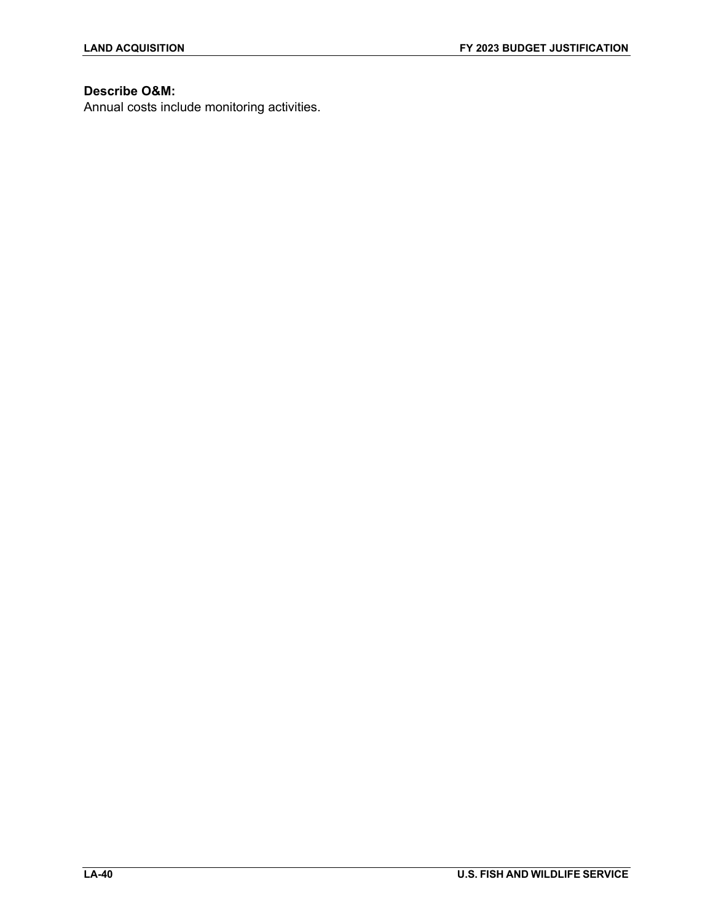# **Describe O&M:**

Annual costs include monitoring activities.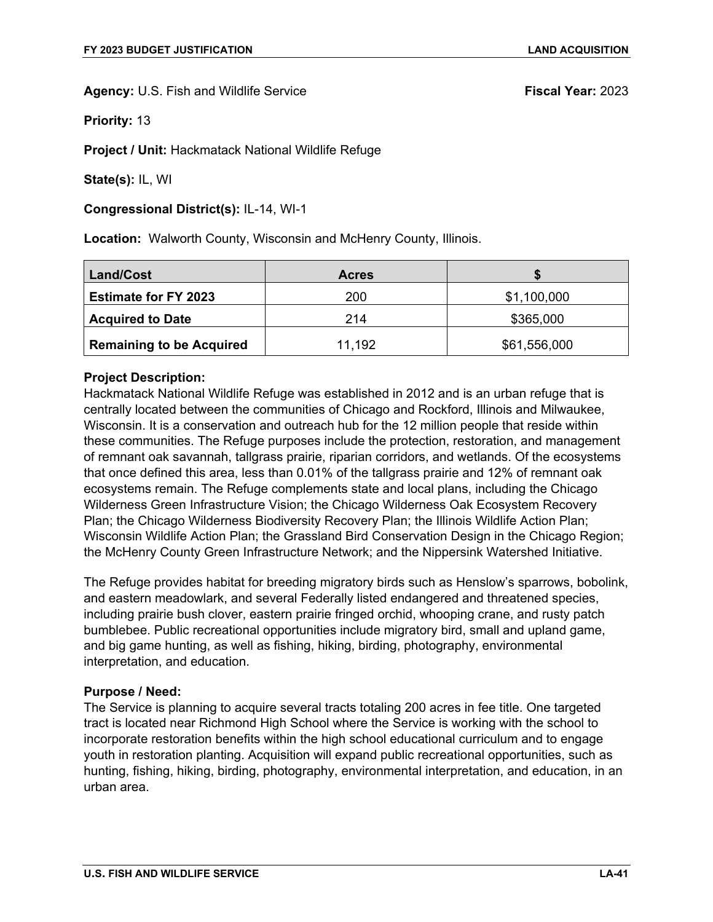**Priority:** 13

**Project / Unit:** Hackmatack National Wildlife Refuge

**State(s):** IL, WI

### **Congressional District(s):** IL-14, WI-1

**Location:** Walworth County, Wisconsin and McHenry County, Illinois.

| Land/Cost                       | <b>Acres</b> |              |
|---------------------------------|--------------|--------------|
| <b>Estimate for FY 2023</b>     | 200          | \$1,100,000  |
| <b>Acquired to Date</b>         | 214          | \$365,000    |
| <b>Remaining to be Acquired</b> | 11,192       | \$61,556,000 |

# **Project Description:**

Hackmatack National Wildlife Refuge was established in 2012 and is an urban refuge that is centrally located between the communities of Chicago and Rockford, Illinois and Milwaukee, Wisconsin. It is a conservation and outreach hub for the 12 million people that reside within these communities. The Refuge purposes include the protection, restoration, and management of remnant oak savannah, tallgrass prairie, riparian corridors, and wetlands. Of the ecosystems that once defined this area, less than 0.01% of the tallgrass prairie and 12% of remnant oak ecosystems remain. The Refuge complements state and local plans, including the Chicago Wilderness Green Infrastructure Vision; the Chicago Wilderness Oak Ecosystem Recovery Plan; the Chicago Wilderness Biodiversity Recovery Plan; the Illinois Wildlife Action Plan; Wisconsin Wildlife Action Plan; the Grassland Bird Conservation Design in the Chicago Region; the McHenry County Green Infrastructure Network; and the Nippersink Watershed Initiative.

The Refuge provides habitat for breeding migratory birds such as Henslow's sparrows, bobolink, and eastern meadowlark, and several Federally listed endangered and threatened species, including prairie bush clover, eastern prairie fringed orchid, whooping crane, and rusty patch bumblebee. Public recreational opportunities include migratory bird, small and upland game, and big game hunting, as well as fishing, hiking, birding, photography, environmental interpretation, and education.

### **Purpose / Need:**

The Service is planning to acquire several tracts totaling 200 acres in fee title. One targeted tract is located near Richmond High School where the Service is working with the school to incorporate restoration benefits within the high school educational curriculum and to engage youth in restoration planting. Acquisition will expand public recreational opportunities, such as hunting, fishing, hiking, birding, photography, environmental interpretation, and education, in an urban area.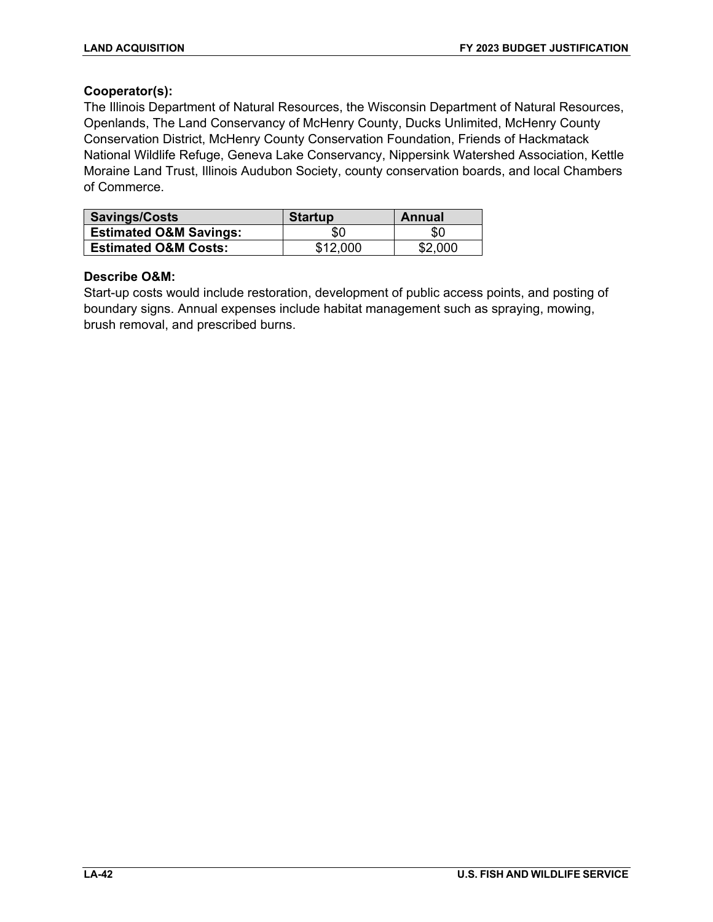# **Cooperator(s):**

The Illinois Department of Natural Resources, the Wisconsin Department of Natural Resources, Openlands, The Land Conservancy of McHenry County, Ducks Unlimited, McHenry County Conservation District, McHenry County Conservation Foundation, Friends of Hackmatack National Wildlife Refuge, Geneva Lake Conservancy, Nippersink Watershed Association, Kettle Moraine Land Trust, Illinois Audubon Society, county conservation boards, and local Chambers of Commerce.

| Savings/Costs                     | <b>Startup</b> | Annual  |
|-----------------------------------|----------------|---------|
| <b>Estimated O&amp;M Savings:</b> | \$0            | \$0     |
| <b>Estimated O&amp;M Costs:</b>   | \$12,000       | \$2,000 |

# **Describe O&M:**

Start-up costs would include restoration, development of public access points, and posting of boundary signs. Annual expenses include habitat management such as spraying, mowing, brush removal, and prescribed burns.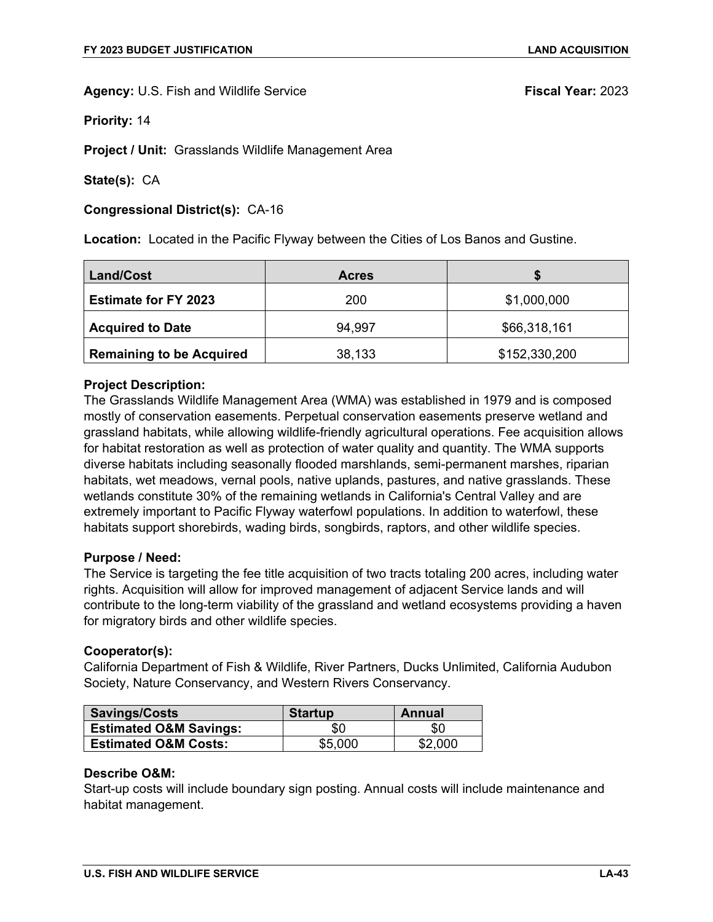**Priority:** 14

**Project / Unit:** Grasslands Wildlife Management Area

**State(s):** CA

**Congressional District(s):** CA-16

**Location:** Located in the Pacific Flyway between the Cities of Los Banos and Gustine.

| <b>Land/Cost</b>                | <b>Acres</b> |               |
|---------------------------------|--------------|---------------|
| <b>Estimate for FY 2023</b>     | 200          | \$1,000,000   |
| <b>Acquired to Date</b>         | 94,997       | \$66,318,161  |
| <b>Remaining to be Acquired</b> | 38,133       | \$152,330,200 |

### **Project Description:**

The Grasslands Wildlife Management Area (WMA) was established in 1979 and is composed mostly of conservation easements. Perpetual conservation easements preserve wetland and grassland habitats, while allowing wildlife-friendly agricultural operations. Fee acquisition allows for habitat restoration as well as protection of water quality and quantity. The WMA supports diverse habitats including seasonally flooded marshlands, semi-permanent marshes, riparian habitats, wet meadows, vernal pools, native uplands, pastures, and native grasslands. These wetlands constitute 30% of the remaining wetlands in California's Central Valley and are extremely important to Pacific Flyway waterfowl populations. In addition to waterfowl, these habitats support shorebirds, wading birds, songbirds, raptors, and other wildlife species.

### **Purpose / Need:**

The Service is targeting the fee title acquisition of two tracts totaling 200 acres, including water rights. Acquisition will allow for improved management of adjacent Service lands and will contribute to the long-term viability of the grassland and wetland ecosystems providing a haven for migratory birds and other wildlife species.

### **Cooperator(s):**

California Department of Fish & Wildlife, River Partners, Ducks Unlimited, California Audubon Society, Nature Conservancy, and Western Rivers Conservancy.

| Savings/Costs                     | <b>Startup</b> | Annual  |
|-----------------------------------|----------------|---------|
| <b>Estimated O&amp;M Savings:</b> | \$0            | \$0     |
| <b>Estimated O&amp;M Costs:</b>   | \$5,000        | \$2,000 |

#### **Describe O&M:**

Start-up costs will include boundary sign posting. Annual costs will include maintenance and habitat management.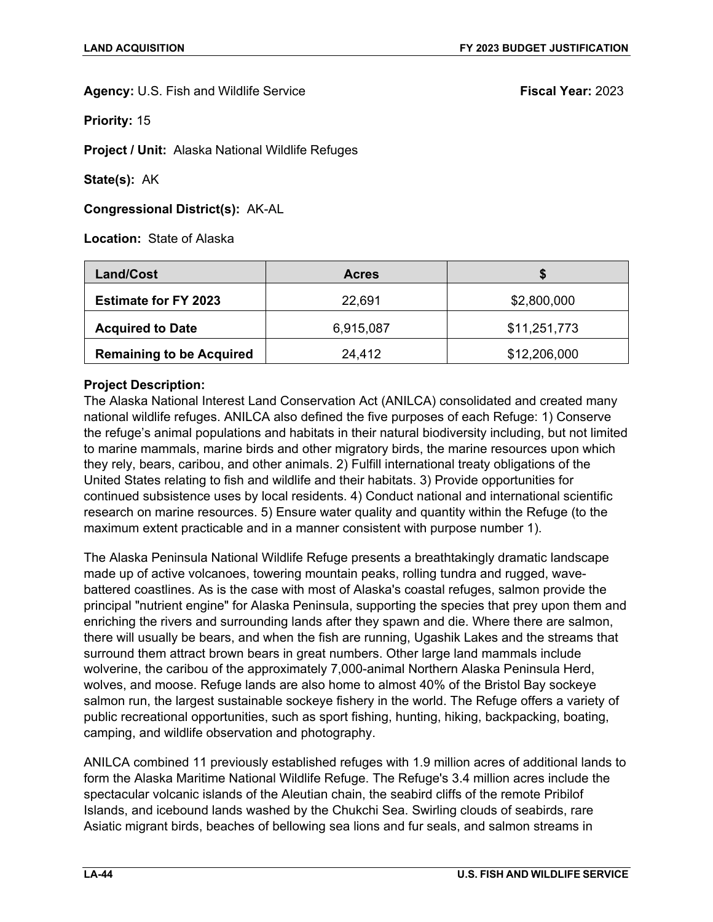**Priority:** 15

**Project / Unit:** Alaska National Wildlife Refuges

**State(s):** AK

**Congressional District(s):** AK-AL

**Location:** State of Alaska

| <b>Land/Cost</b>                | <b>Acres</b> |              |
|---------------------------------|--------------|--------------|
| <b>Estimate for FY 2023</b>     | 22,691       | \$2,800,000  |
| <b>Acquired to Date</b>         | 6,915,087    | \$11,251,773 |
| <b>Remaining to be Acquired</b> | 24,412       | \$12,206,000 |

# **Project Description:**

The Alaska National Interest Land Conservation Act (ANILCA) consolidated and created many national wildlife refuges. ANILCA also defined the five purposes of each Refuge: 1) Conserve the refuge's animal populations and habitats in their natural biodiversity including, but not limited to marine mammals, marine birds and other migratory birds, the marine resources upon which they rely, bears, caribou, and other animals. 2) Fulfill international treaty obligations of the United States relating to fish and wildlife and their habitats. 3) Provide opportunities for continued subsistence uses by local residents. 4) Conduct national and international scientific research on marine resources. 5) Ensure water quality and quantity within the Refuge (to the maximum extent practicable and in a manner consistent with purpose number 1).

The Alaska Peninsula National Wildlife Refuge presents a breathtakingly dramatic landscape made up of active volcanoes, towering mountain peaks, rolling tundra and rugged, wavebattered coastlines. As is the case with most of Alaska's coastal refuges, salmon provide the principal "nutrient engine" for Alaska Peninsula, supporting the species that prey upon them and enriching the rivers and surrounding lands after they spawn and die. Where there are salmon, there will usually be bears, and when the fish are running, Ugashik Lakes and the streams that surround them attract brown bears in great numbers. Other large land mammals include wolverine, the caribou of the approximately 7,000-animal Northern Alaska Peninsula Herd, wolves, and moose. Refuge lands are also home to almost 40% of the Bristol Bay sockeye salmon run, the largest sustainable sockeye fishery in the world. The Refuge offers a variety of public recreational opportunities, such as sport fishing, hunting, hiking, backpacking, boating, camping, and wildlife observation and photography.

ANILCA combined 11 previously established refuges with 1.9 million acres of additional lands to form the Alaska Maritime National Wildlife Refuge. The Refuge's 3.4 million acres include the spectacular volcanic islands of the Aleutian chain, the seabird cliffs of the remote Pribilof Islands, and icebound lands washed by the Chukchi Sea. Swirling clouds of seabirds, rare Asiatic migrant birds, beaches of bellowing sea lions and fur seals, and salmon streams in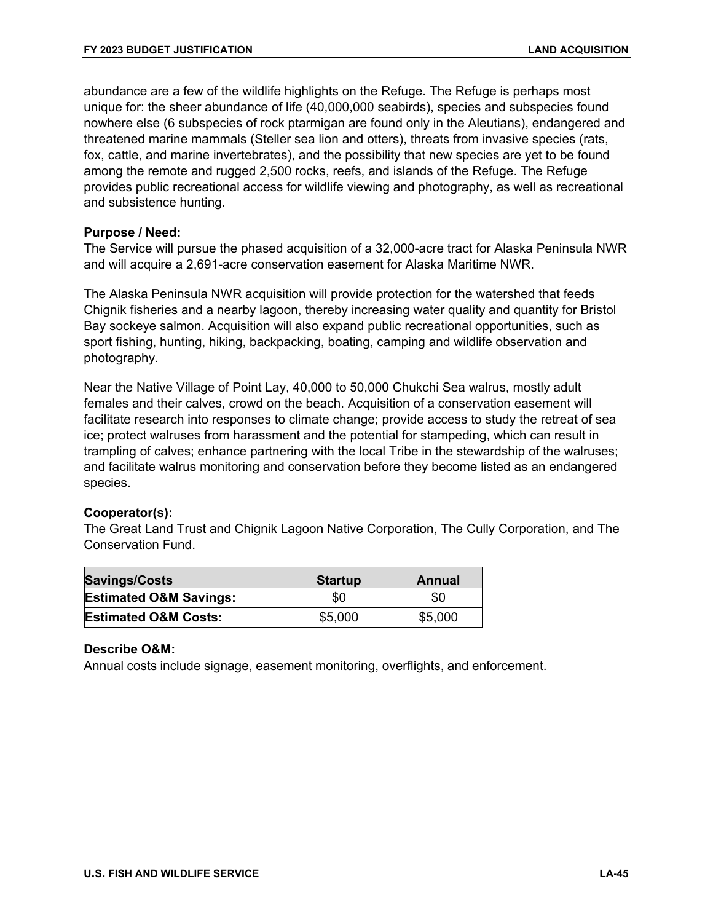abundance are a few of the wildlife highlights on the Refuge. The Refuge is perhaps most unique for: the sheer abundance of life (40,000,000 seabirds), species and subspecies found nowhere else (6 subspecies of rock ptarmigan are found only in the Aleutians), endangered and threatened marine mammals (Steller sea lion and otters), threats from invasive species (rats, fox, cattle, and marine invertebrates), and the possibility that new species are yet to be found among the remote and rugged 2,500 rocks, reefs, and islands of the Refuge. The Refuge provides public recreational access for wildlife viewing and photography, as well as recreational and subsistence hunting.

# **Purpose / Need:**

The Service will pursue the phased acquisition of a 32,000-acre tract for Alaska Peninsula NWR and will acquire a 2,691-acre conservation easement for Alaska Maritime NWR.

The Alaska Peninsula NWR acquisition will provide protection for the watershed that feeds Chignik fisheries and a nearby lagoon, thereby increasing water quality and quantity for Bristol Bay sockeye salmon. Acquisition will also expand public recreational opportunities, such as sport fishing, hunting, hiking, backpacking, boating, camping and wildlife observation and photography.

Near the Native Village of Point Lay, 40,000 to 50,000 Chukchi Sea walrus, mostly adult females and their calves, crowd on the beach. Acquisition of a conservation easement will facilitate research into responses to climate change; provide access to study the retreat of sea ice; protect walruses from harassment and the potential for stampeding, which can result in trampling of calves; enhance partnering with the local Tribe in the stewardship of the walruses; and facilitate walrus monitoring and conservation before they become listed as an endangered species.

### **Cooperator(s):**

The Great Land Trust and Chignik Lagoon Native Corporation, The Cully Corporation, and The Conservation Fund.

| <b>Savings/Costs</b>              | <b>Startup</b> | Annual  |
|-----------------------------------|----------------|---------|
| <b>Estimated O&amp;M Savings:</b> | \$0            | \$0     |
| <b>Estimated O&amp;M Costs:</b>   | \$5,000        | \$5,000 |

### **Describe O&M:**

Annual costs include signage, easement monitoring, overflights, and enforcement.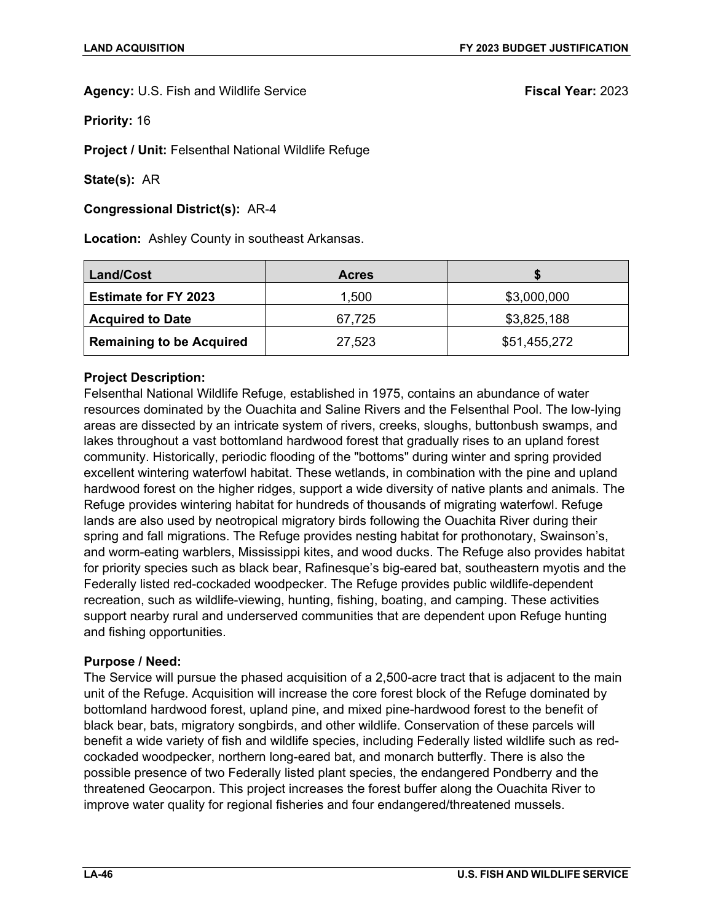**Priority:** 16

**Project / Unit:** Felsenthal National Wildlife Refuge

**State(s):** AR

**Congressional District(s):** AR-4

**Location:** Ashley County in southeast Arkansas.

| <b>Land/Cost</b>                | <b>Acres</b> |              |
|---------------------------------|--------------|--------------|
| <b>Estimate for FY 2023</b>     | 1,500        | \$3,000,000  |
| <b>Acquired to Date</b>         | 67,725       | \$3,825,188  |
| <b>Remaining to be Acquired</b> | 27,523       | \$51,455,272 |

# **Project Description:**

Felsenthal National Wildlife Refuge, established in 1975, contains an abundance of water resources dominated by the Ouachita and Saline Rivers and the Felsenthal Pool. The low-lying areas are dissected by an intricate system of rivers, creeks, sloughs, buttonbush swamps, and lakes throughout a vast bottomland hardwood forest that gradually rises to an upland forest community. Historically, periodic flooding of the "bottoms" during winter and spring provided excellent wintering waterfowl habitat. These wetlands, in combination with the pine and upland hardwood forest on the higher ridges, support a wide diversity of native plants and animals. The Refuge provides wintering habitat for hundreds of thousands of migrating waterfowl. Refuge lands are also used by neotropical migratory birds following the Ouachita River during their spring and fall migrations. The Refuge provides nesting habitat for prothonotary, Swainson's, and worm-eating warblers, Mississippi kites, and wood ducks. The Refuge also provides habitat for priority species such as black bear, Rafinesque's big-eared bat, southeastern myotis and the Federally listed red-cockaded woodpecker. The Refuge provides public wildlife-dependent recreation, such as wildlife-viewing, hunting, fishing, boating, and camping. These activities support nearby rural and underserved communities that are dependent upon Refuge hunting and fishing opportunities.

### **Purpose / Need:**

The Service will pursue the phased acquisition of a 2,500-acre tract that is adjacent to the main unit of the Refuge. Acquisition will increase the core forest block of the Refuge dominated by bottomland hardwood forest, upland pine, and mixed pine-hardwood forest to the benefit of black bear, bats, migratory songbirds, and other wildlife. Conservation of these parcels will benefit a wide variety of fish and wildlife species, including Federally listed wildlife such as redcockaded woodpecker, northern long-eared bat, and monarch butterfly. There is also the possible presence of two Federally listed plant species, the endangered Pondberry and the threatened Geocarpon. This project increases the forest buffer along the Ouachita River to improve water quality for regional fisheries and four endangered/threatened mussels.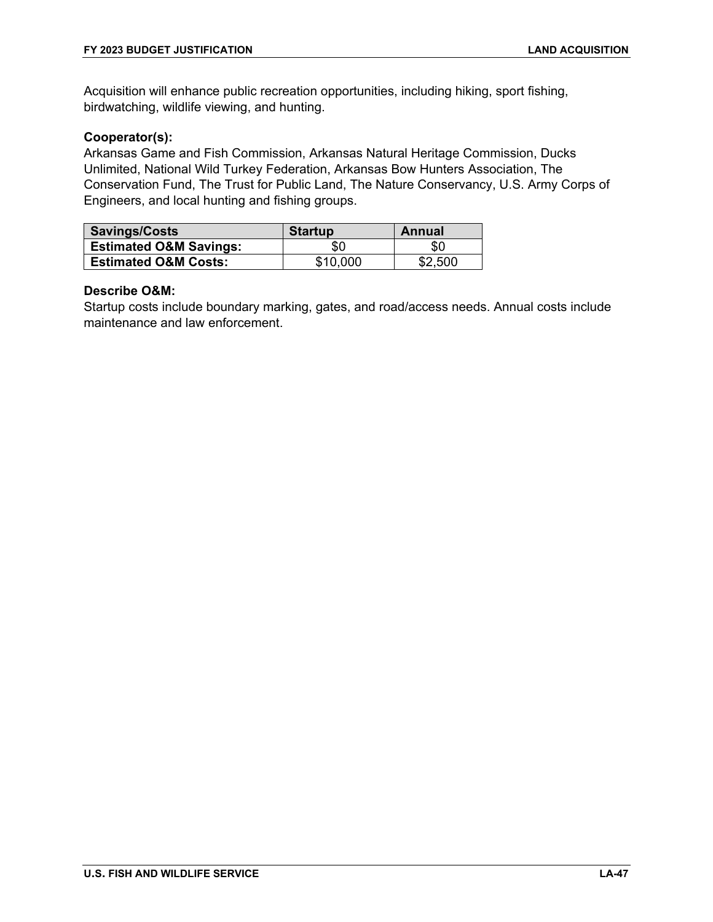Acquisition will enhance public recreation opportunities, including hiking, sport fishing, birdwatching, wildlife viewing, and hunting.

# **Cooperator(s):**

Arkansas Game and Fish Commission, Arkansas Natural Heritage Commission, Ducks Unlimited, National Wild Turkey Federation, Arkansas Bow Hunters Association, The Conservation Fund, The Trust for Public Land, The Nature Conservancy, U.S. Army Corps of Engineers, and local hunting and fishing groups.

| Savings/Costs                     | <b>Startup</b> | Annual  |
|-----------------------------------|----------------|---------|
| <b>Estimated O&amp;M Savings:</b> | \$0            | \$0     |
| <b>Estimated O&amp;M Costs:</b>   | \$10,000       | \$2,500 |

### **Describe O&M:**

Startup costs include boundary marking, gates, and road/access needs. Annual costs include maintenance and law enforcement.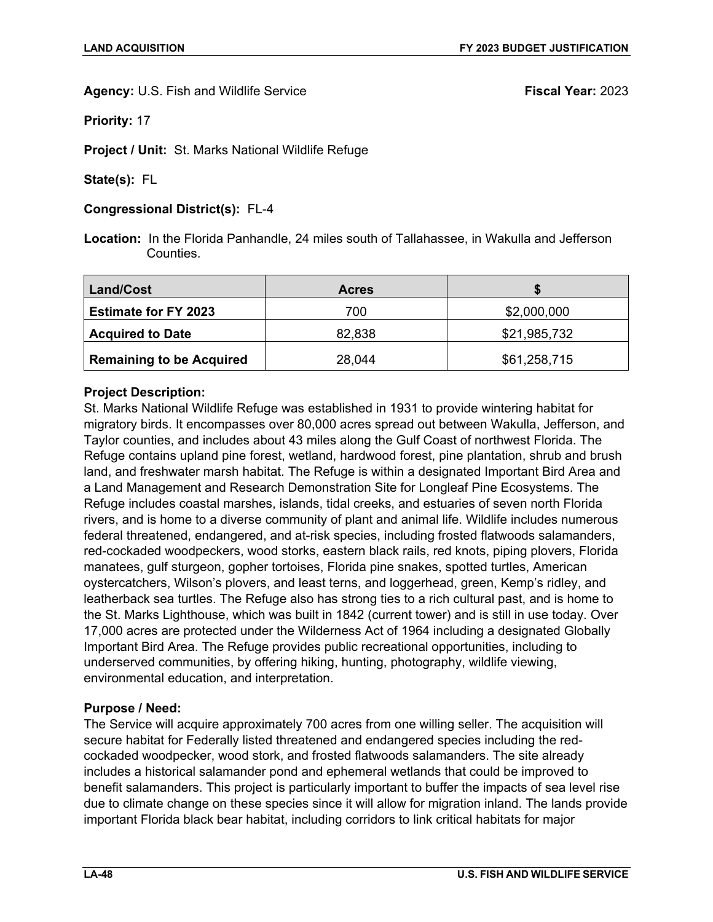**Priority:** 17

**Project / Unit:** St. Marks National Wildlife Refuge

**State(s):** FL

# **Congressional District(s):** FL-4

**Location:** In the Florida Panhandle, 24 miles south of Tallahassee, in Wakulla and Jefferson **Counties** 

| Land/Cost                       | <b>Acres</b> |              |
|---------------------------------|--------------|--------------|
| <b>Estimate for FY 2023</b>     | 700          | \$2,000,000  |
| <b>Acquired to Date</b>         | 82,838       | \$21,985,732 |
| <b>Remaining to be Acquired</b> | 28,044       | \$61,258,715 |

# **Project Description:**

St. Marks National Wildlife Refuge was established in 1931 to provide wintering habitat for migratory birds. It encompasses over 80,000 acres spread out between Wakulla, Jefferson, and Taylor counties, and includes about 43 miles along the Gulf Coast of northwest Florida. The Refuge contains upland pine forest, wetland, hardwood forest, pine plantation, shrub and brush land, and freshwater marsh habitat. The Refuge is within a designated Important Bird Area and a Land Management and Research Demonstration Site for Longleaf Pine Ecosystems. The Refuge includes coastal marshes, islands, tidal creeks, and estuaries of seven north Florida rivers, and is home to a diverse community of plant and animal life. Wildlife includes numerous federal threatened, endangered, and at-risk species, including frosted flatwoods salamanders, red-cockaded woodpeckers, wood storks, eastern black rails, red knots, piping plovers, Florida manatees, gulf sturgeon, gopher tortoises, Florida pine snakes, spotted turtles, American oystercatchers, Wilson's plovers, and least terns, and loggerhead, green, Kemp's ridley, and leatherback sea turtles. The Refuge also has strong ties to a rich cultural past, and is home to the St. Marks Lighthouse, which was built in 1842 (current tower) and is still in use today. Over 17,000 acres are protected under the Wilderness Act of 1964 including a designated Globally Important Bird Area. The Refuge provides public recreational opportunities, including to underserved communities, by offering hiking, hunting, photography, wildlife viewing, environmental education, and interpretation.

# **Purpose / Need:**

The Service will acquire approximately 700 acres from one willing seller. The acquisition will secure habitat for Federally listed threatened and endangered species including the redcockaded woodpecker, wood stork, and frosted flatwoods salamanders. The site already includes a historical salamander pond and ephemeral wetlands that could be improved to benefit salamanders. This project is particularly important to buffer the impacts of sea level rise due to climate change on these species since it will allow for migration inland. The lands provide important Florida black bear habitat, including corridors to link critical habitats for major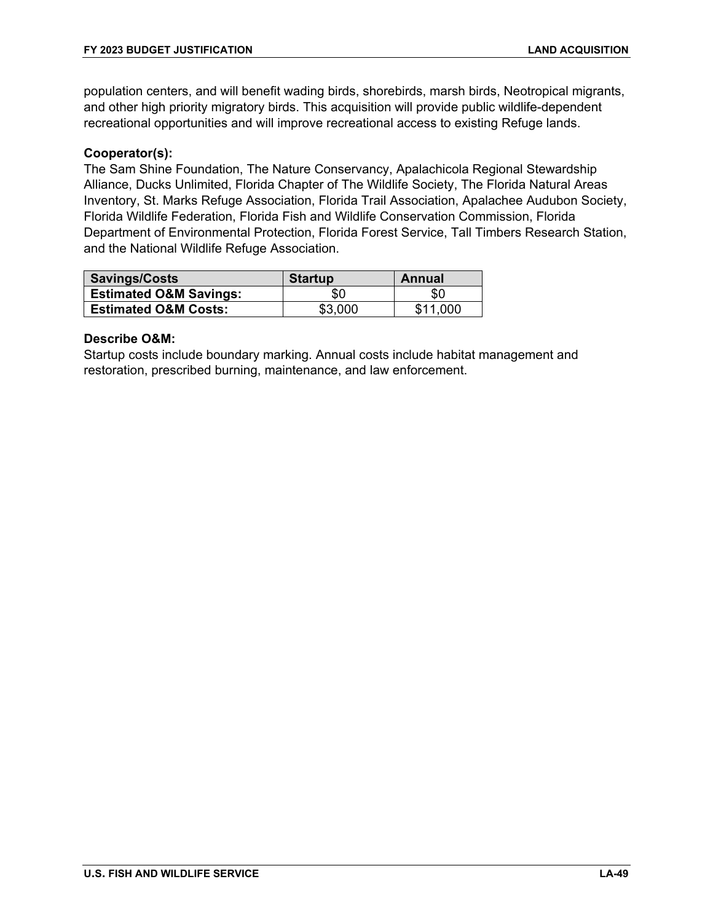population centers, and will benefit wading birds, shorebirds, marsh birds, Neotropical migrants, and other high priority migratory birds. This acquisition will provide public wildlife-dependent recreational opportunities and will improve recreational access to existing Refuge lands.

# **Cooperator(s):**

The Sam Shine Foundation, The Nature Conservancy, Apalachicola Regional Stewardship Alliance, Ducks Unlimited, Florida Chapter of The Wildlife Society, The Florida Natural Areas Inventory, St. Marks Refuge Association, Florida Trail Association, Apalachee Audubon Society, Florida Wildlife Federation, Florida Fish and Wildlife Conservation Commission, Florida Department of Environmental Protection, Florida Forest Service, Tall Timbers Research Station, and the National Wildlife Refuge Association.

| Savings/Costs                     | <b>Startup</b> | Annual   |
|-----------------------------------|----------------|----------|
| <b>Estimated O&amp;M Savings:</b> | \$0            | \$C      |
| <b>Estimated O&amp;M Costs:</b>   | \$3,000        | \$11.000 |

### **Describe O&M:**

Startup costs include boundary marking. Annual costs include habitat management and restoration, prescribed burning, maintenance, and law enforcement.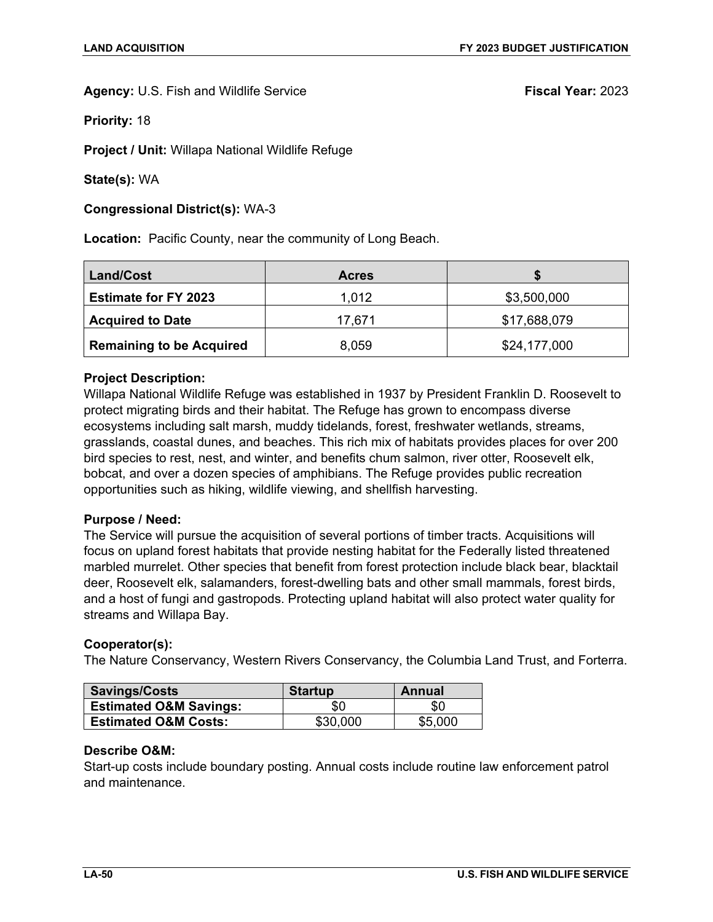**Priority:** 18

**Project / Unit:** Willapa National Wildlife Refuge

**State(s):** WA

**Congressional District(s):** WA-3

**Location:** Pacific County, near the community of Long Beach.

| <b>Land/Cost</b>                | <b>Acres</b> |              |
|---------------------------------|--------------|--------------|
| <b>Estimate for FY 2023</b>     | 1,012        | \$3,500,000  |
| <b>Acquired to Date</b>         | 17,671       | \$17,688,079 |
| <b>Remaining to be Acquired</b> | 8,059        | \$24,177,000 |

# **Project Description:**

Willapa National Wildlife Refuge was established in 1937 by President Franklin D. Roosevelt to protect migrating birds and their habitat. The Refuge has grown to encompass diverse ecosystems including salt marsh, muddy tidelands, forest, freshwater wetlands, streams, grasslands, coastal dunes, and beaches. This rich mix of habitats provides places for over 200 bird species to rest, nest, and winter, and benefits chum salmon, river otter, Roosevelt elk, bobcat, and over a dozen species of amphibians. The Refuge provides public recreation opportunities such as hiking, wildlife viewing, and shellfish harvesting.

### **Purpose / Need:**

The Service will pursue the acquisition of several portions of timber tracts. Acquisitions will focus on upland forest habitats that provide nesting habitat for the Federally listed threatened marbled murrelet. Other species that benefit from forest protection include black bear, blacktail deer, Roosevelt elk, salamanders, forest-dwelling bats and other small mammals, forest birds, and a host of fungi and gastropods. Protecting upland habitat will also protect water quality for streams and Willapa Bay.

### **Cooperator(s):**

The Nature Conservancy, Western Rivers Conservancy, the Columbia Land Trust, and Forterra.

| Savings/Costs                     | <b>Startup</b> | Annual  |
|-----------------------------------|----------------|---------|
| <b>Estimated O&amp;M Savings:</b> | \$0            | \$0     |
| <b>Estimated O&amp;M Costs:</b>   | \$30,000       | \$5,000 |

### **Describe O&M:**

Start-up costs include boundary posting. Annual costs include routine law enforcement patrol and maintenance.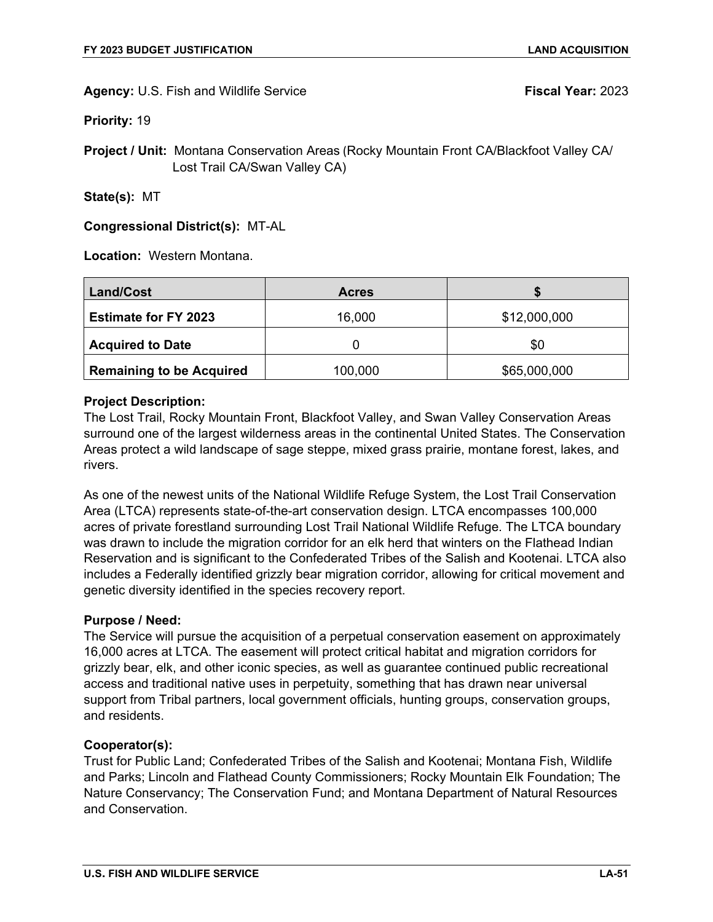**Priority:** 19

**Project / Unit:** Montana Conservation Areas (Rocky Mountain Front CA/Blackfoot Valley CA/ Lost Trail CA/Swan Valley CA)

**State(s):** MT

# **Congressional District(s):** MT-AL

**Location:** Western Montana.

| <b>Land/Cost</b>                | <b>Acres</b> |              |
|---------------------------------|--------------|--------------|
| <b>Estimate for FY 2023</b>     | 16,000       | \$12,000,000 |
| <b>Acquired to Date</b>         |              | \$0          |
| <b>Remaining to be Acquired</b> | 100,000      | \$65,000,000 |

### **Project Description:**

The Lost Trail, Rocky Mountain Front, Blackfoot Valley, and Swan Valley Conservation Areas surround one of the largest wilderness areas in the continental United States. The Conservation Areas protect a wild landscape of sage steppe, mixed grass prairie, montane forest, lakes, and rivers.

As one of the newest units of the National Wildlife Refuge System, the Lost Trail Conservation Area (LTCA) represents state-of-the-art conservation design. LTCA encompasses 100,000 acres of private forestland surrounding Lost Trail National Wildlife Refuge. The LTCA boundary was drawn to include the migration corridor for an elk herd that winters on the Flathead Indian Reservation and is significant to the Confederated Tribes of the Salish and Kootenai. LTCA also includes a Federally identified grizzly bear migration corridor, allowing for critical movement and genetic diversity identified in the species recovery report.

### **Purpose / Need:**

The Service will pursue the acquisition of a perpetual conservation easement on approximately 16,000 acres at LTCA. The easement will protect critical habitat and migration corridors for grizzly bear, elk, and other iconic species, as well as guarantee continued public recreational access and traditional native uses in perpetuity, something that has drawn near universal support from Tribal partners, local government officials, hunting groups, conservation groups, and residents.

### **Cooperator(s):**

Trust for Public Land; Confederated Tribes of the Salish and Kootenai; Montana Fish, Wildlife and Parks; Lincoln and Flathead County Commissioners; Rocky Mountain Elk Foundation; The Nature Conservancy; The Conservation Fund; and Montana Department of Natural Resources and Conservation.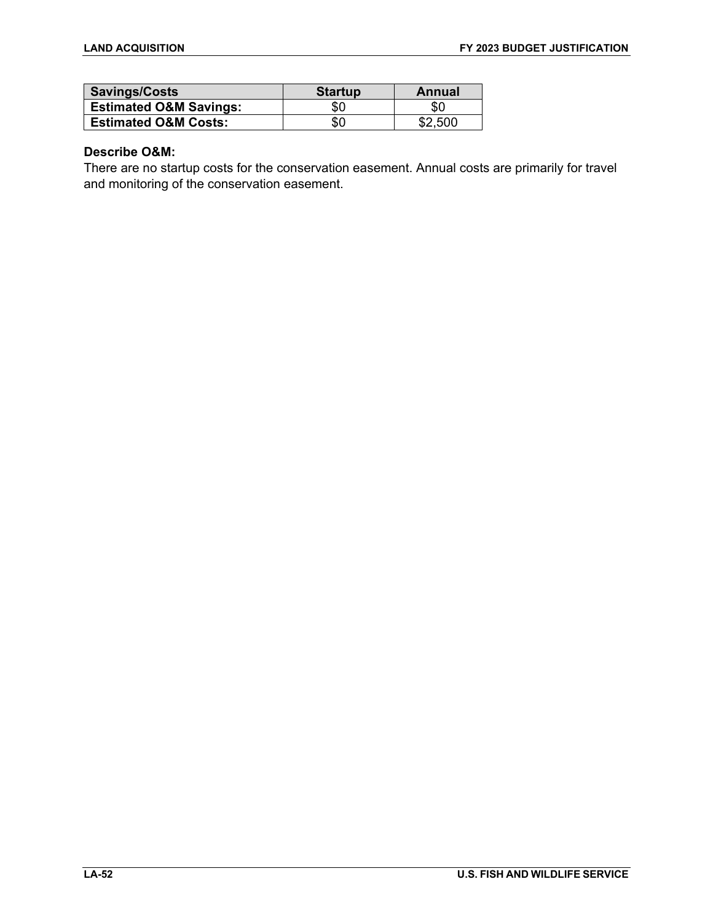| Savings/Costs                     | <b>Startup</b> | Annual  |
|-----------------------------------|----------------|---------|
| <b>Estimated O&amp;M Savings:</b> | 80             | \$0     |
| <b>Estimated O&amp;M Costs:</b>   | \$0            | \$2.500 |

### **Describe O&M:**

There are no startup costs for the conservation easement. Annual costs are primarily for travel and monitoring of the conservation easement.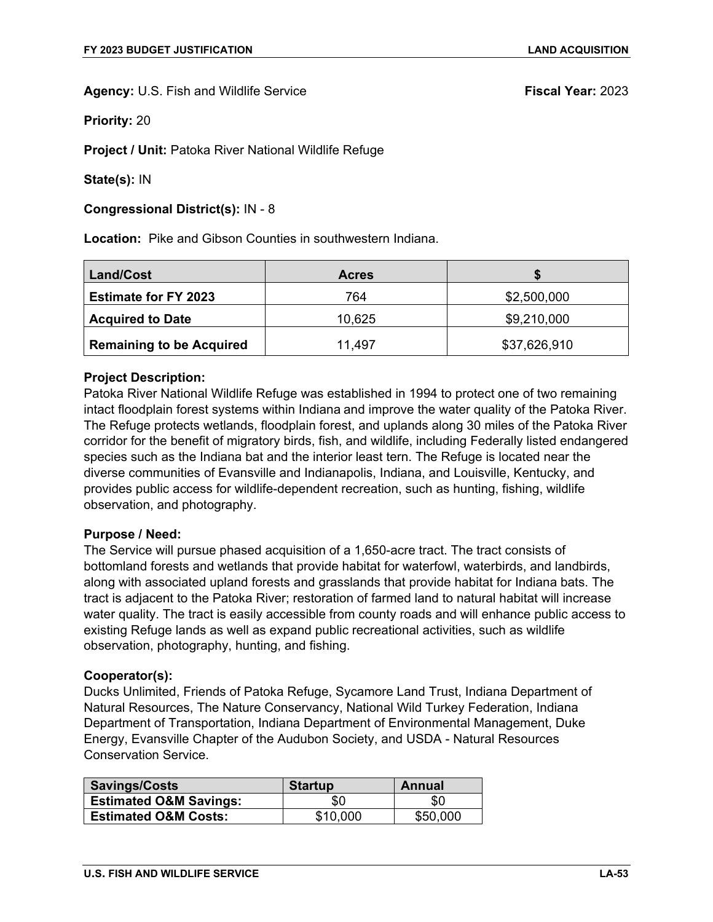**Priority:** 20

**Project / Unit:** Patoka River National Wildlife Refuge

**State(s):** IN

**Congressional District(s):** IN - 8

**Location:** Pike and Gibson Counties in southwestern Indiana.

| <b>Land/Cost</b>                | <b>Acres</b> |              |
|---------------------------------|--------------|--------------|
| <b>Estimate for FY 2023</b>     | 764          | \$2,500,000  |
| <b>Acquired to Date</b>         | 10,625       | \$9,210,000  |
| <b>Remaining to be Acquired</b> | 11,497       | \$37,626,910 |

### **Project Description:**

Patoka River National Wildlife Refuge was established in 1994 to protect one of two remaining intact floodplain forest systems within Indiana and improve the water quality of the Patoka River. The Refuge protects wetlands, floodplain forest, and uplands along 30 miles of the Patoka River corridor for the benefit of migratory birds, fish, and wildlife, including Federally listed endangered species such as the Indiana bat and the interior least tern. The Refuge is located near the diverse communities of Evansville and Indianapolis, Indiana, and Louisville, Kentucky, and provides public access for wildlife-dependent recreation, such as hunting, fishing, wildlife observation, and photography.

### **Purpose / Need:**

The Service will pursue phased acquisition of a 1,650-acre tract. The tract consists of bottomland forests and wetlands that provide habitat for waterfowl, waterbirds, and landbirds, along with associated upland forests and grasslands that provide habitat for Indiana bats. The tract is adjacent to the Patoka River; restoration of farmed land to natural habitat will increase water quality. The tract is easily accessible from county roads and will enhance public access to existing Refuge lands as well as expand public recreational activities, such as wildlife observation, photography, hunting, and fishing.

### **Cooperator(s):**

Ducks Unlimited, Friends of Patoka Refuge, Sycamore Land Trust, Indiana Department of Natural Resources, The Nature Conservancy, National Wild Turkey Federation, Indiana Department of Transportation, Indiana Department of Environmental Management, Duke Energy, Evansville Chapter of the Audubon Society, and USDA - Natural Resources Conservation Service.

| <b>Savings/Costs</b>              | <b>Startup</b> | Annual   |
|-----------------------------------|----------------|----------|
| <b>Estimated O&amp;M Savings:</b> | \$0            | \$0      |
| <b>Estimated O&amp;M Costs:</b>   | \$10,000       | \$50,000 |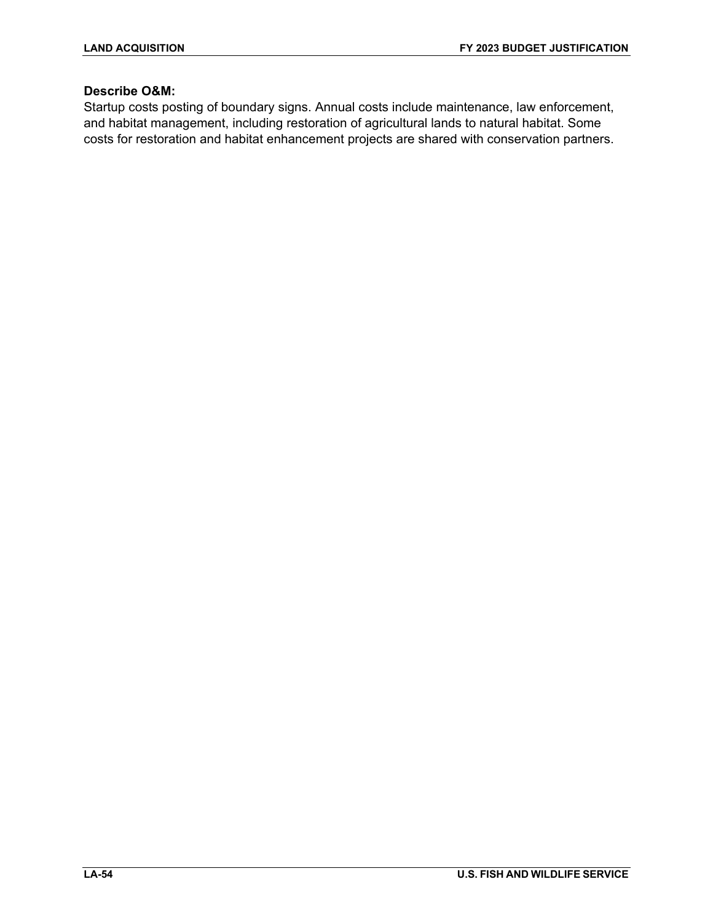# **Describe O&M:**

Startup costs posting of boundary signs. Annual costs include maintenance, law enforcement, and habitat management, including restoration of agricultural lands to natural habitat. Some costs for restoration and habitat enhancement projects are shared with conservation partners.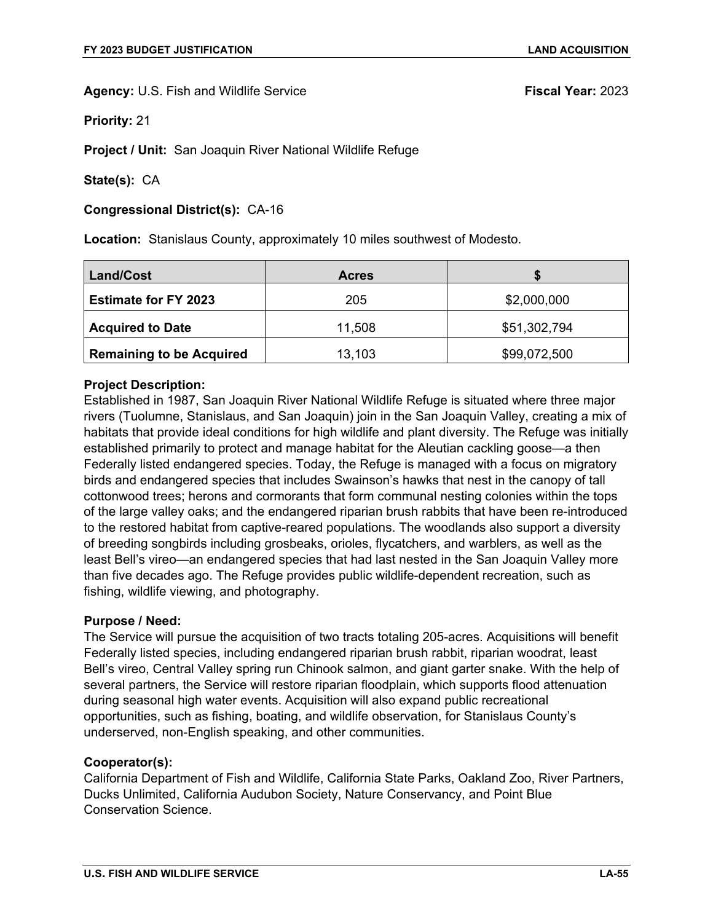**Priority:** 21

**Project / Unit:** San Joaquin River National Wildlife Refuge

**State(s):** CA

### **Congressional District(s):** CA-16

**Location:** Stanislaus County, approximately 10 miles southwest of Modesto.

| Land/Cost                       | <b>Acres</b> |              |
|---------------------------------|--------------|--------------|
| <b>Estimate for FY 2023</b>     | 205          | \$2,000,000  |
| <b>Acquired to Date</b>         | 11,508       | \$51,302,794 |
| <b>Remaining to be Acquired</b> | 13,103       | \$99,072,500 |

# **Project Description:**

Established in 1987, San Joaquin River National Wildlife Refuge is situated where three major rivers (Tuolumne, Stanislaus, and San Joaquin) join in the San Joaquin Valley, creating a mix of habitats that provide ideal conditions for high wildlife and plant diversity. The Refuge was initially established primarily to protect and manage habitat for the Aleutian cackling goose—a then Federally listed endangered species. Today, the Refuge is managed with a focus on migratory birds and endangered species that includes Swainson's hawks that nest in the canopy of tall cottonwood trees; herons and cormorants that form communal nesting colonies within the tops of the large valley oaks; and the endangered riparian brush rabbits that have been re-introduced to the restored habitat from captive-reared populations. The woodlands also support a diversity of breeding songbirds including grosbeaks, orioles, flycatchers, and warblers, as well as the least Bell's vireo—an endangered species that had last nested in the San Joaquin Valley more than five decades ago. The Refuge provides public wildlife-dependent recreation, such as fishing, wildlife viewing, and photography.

### **Purpose / Need:**

The Service will pursue the acquisition of two tracts totaling 205-acres. Acquisitions will benefit Federally listed species, including endangered riparian brush rabbit, riparian woodrat, least Bell's vireo, Central Valley spring run Chinook salmon, and giant garter snake. With the help of several partners, the Service will restore riparian floodplain, which supports flood attenuation during seasonal high water events. Acquisition will also expand public recreational opportunities, such as fishing, boating, and wildlife observation, for Stanislaus County's underserved, non-English speaking, and other communities.

### **Cooperator(s):**

California Department of Fish and Wildlife, California State Parks, Oakland Zoo, River Partners, Ducks Unlimited, California Audubon Society, Nature Conservancy, and Point Blue Conservation Science.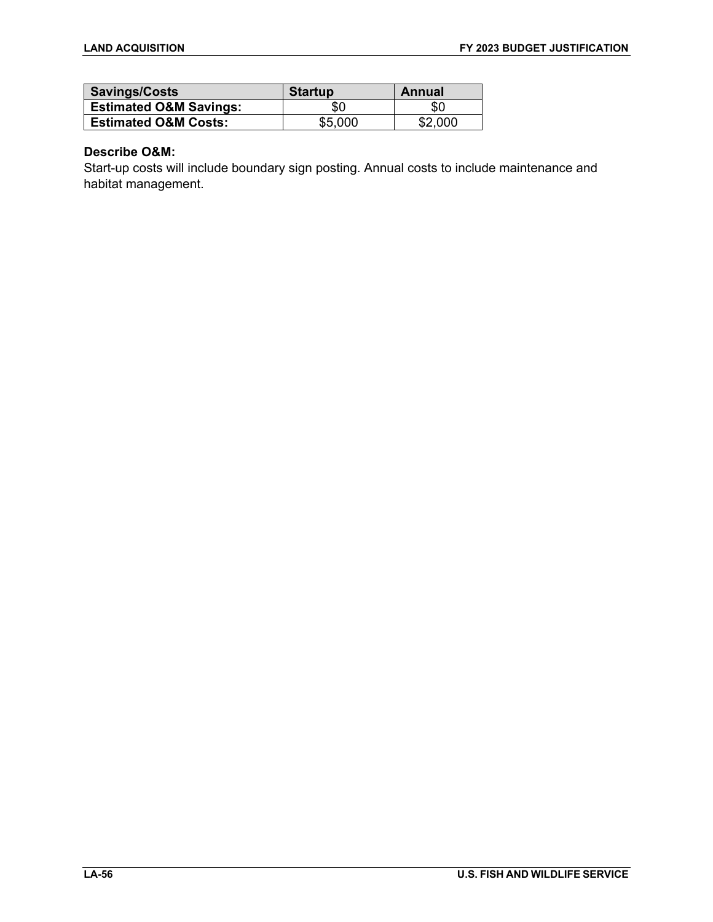| Savings/Costs                     | <b>Startup</b> | Annual  |
|-----------------------------------|----------------|---------|
| <b>Estimated O&amp;M Savings:</b> | \$0            | \$C     |
| <b>Estimated O&amp;M Costs:</b>   | \$5.000        | \$2,000 |

### **Describe O&M:**

Start-up costs will include boundary sign posting. Annual costs to include maintenance and habitat management.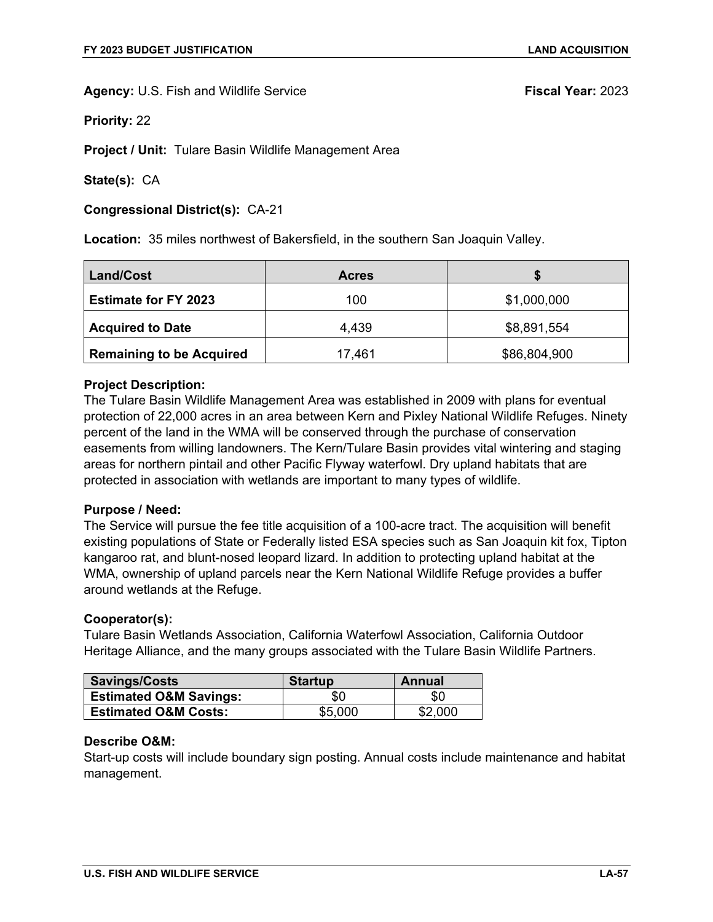**Priority:** 22

**Project / Unit:** Tulare Basin Wildlife Management Area

**State(s):** CA

**Congressional District(s):** CA-21

**Location:** 35 miles northwest of Bakersfield, in the southern San Joaquin Valley.

| Land/Cost                       | <b>Acres</b> |              |
|---------------------------------|--------------|--------------|
| <b>Estimate for FY 2023</b>     | 100          | \$1,000,000  |
| <b>Acquired to Date</b>         | 4.439        | \$8,891,554  |
| <b>Remaining to be Acquired</b> | 17,461       | \$86,804,900 |

### **Project Description:**

The Tulare Basin Wildlife Management Area was established in 2009 with plans for eventual protection of 22,000 acres in an area between Kern and Pixley National Wildlife Refuges. Ninety percent of the land in the WMA will be conserved through the purchase of conservation easements from willing landowners. The Kern/Tulare Basin provides vital wintering and staging areas for northern pintail and other Pacific Flyway waterfowl. Dry upland habitats that are protected in association with wetlands are important to many types of wildlife.

### **Purpose / Need:**

The Service will pursue the fee title acquisition of a 100-acre tract. The acquisition will benefit existing populations of State or Federally listed ESA species such as San Joaquin kit fox, Tipton kangaroo rat, and blunt-nosed leopard lizard. In addition to protecting upland habitat at the WMA, ownership of upland parcels near the Kern National Wildlife Refuge provides a buffer around wetlands at the Refuge.

### **Cooperator(s):**

Tulare Basin Wetlands Association, California Waterfowl Association, California Outdoor Heritage Alliance, and the many groups associated with the Tulare Basin Wildlife Partners.

| Savings/Costs                     | <b>Startup</b> | Annual  |
|-----------------------------------|----------------|---------|
| <b>Estimated O&amp;M Savings:</b> | \$0            | \$0     |
| <b>Estimated O&amp;M Costs:</b>   | \$5,000        | \$2,000 |

### **Describe O&M:**

Start-up costs will include boundary sign posting. Annual costs include maintenance and habitat management.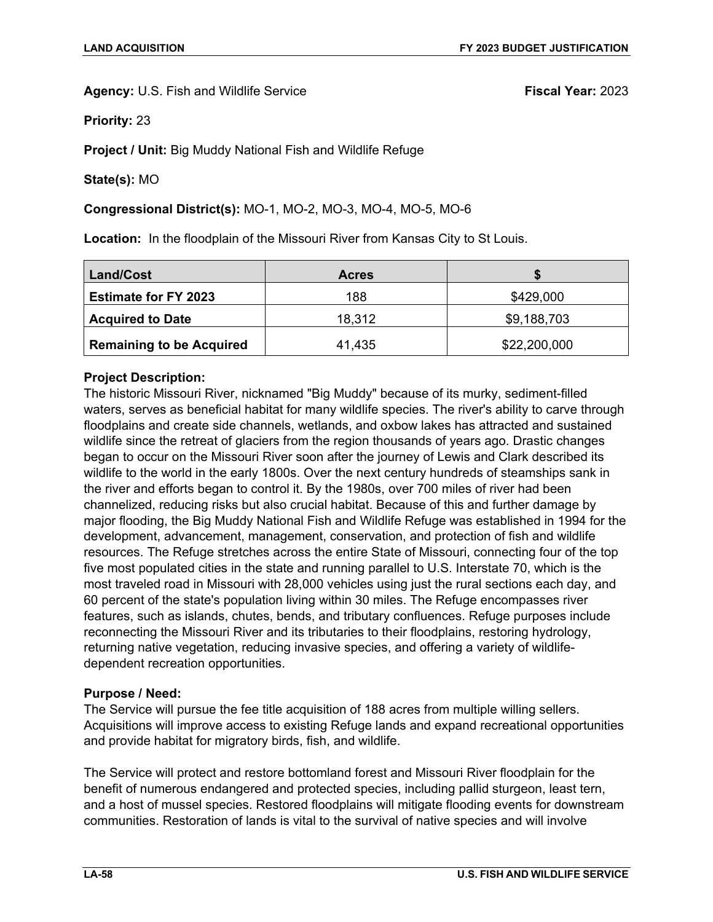**Priority:** 23

**Project / Unit:** Big Muddy National Fish and Wildlife Refuge

**State(s):** MO

# **Congressional District(s):** MO-1, MO-2, MO-3, MO-4, MO-5, MO-6

**Location:** In the floodplain of the Missouri River from Kansas City to St Louis.

| <b>Land/Cost</b>                | <b>Acres</b> |              |
|---------------------------------|--------------|--------------|
| <b>Estimate for FY 2023</b>     | 188          | \$429,000    |
| <b>Acquired to Date</b>         | 18,312       | \$9,188,703  |
| <b>Remaining to be Acquired</b> | 41,435       | \$22,200,000 |

# **Project Description:**

The historic Missouri River, nicknamed "Big Muddy" because of its murky, sediment-filled waters, serves as beneficial habitat for many wildlife species. The river's ability to carve through floodplains and create side channels, wetlands, and oxbow lakes has attracted and sustained wildlife since the retreat of glaciers from the region thousands of years ago. Drastic changes began to occur on the Missouri River soon after the journey of Lewis and Clark described its wildlife to the world in the early 1800s. Over the next century hundreds of steamships sank in the river and efforts began to control it. By the 1980s, over 700 miles of river had been channelized, reducing risks but also crucial habitat. Because of this and further damage by major flooding, the Big Muddy National Fish and Wildlife Refuge was established in 1994 for the development, advancement, management, conservation, and protection of fish and wildlife resources. The Refuge stretches across the entire State of Missouri, connecting four of the top five most populated cities in the state and running parallel to U.S. Interstate 70, which is the most traveled road in Missouri with 28,000 vehicles using just the rural sections each day, and 60 percent of the state's population living within 30 miles. The Refuge encompasses river features, such as islands, chutes, bends, and tributary confluences. Refuge purposes include reconnecting the Missouri River and its tributaries to their floodplains, restoring hydrology, returning native vegetation, reducing invasive species, and offering a variety of wildlifedependent recreation opportunities.

# **Purpose / Need:**

The Service will pursue the fee title acquisition of 188 acres from multiple willing sellers. Acquisitions will improve access to existing Refuge lands and expand recreational opportunities and provide habitat for migratory birds, fish, and wildlife.

The Service will protect and restore bottomland forest and Missouri River floodplain for the benefit of numerous endangered and protected species, including pallid sturgeon, least tern, and a host of mussel species. Restored floodplains will mitigate flooding events for downstream communities. Restoration of lands is vital to the survival of native species and will involve